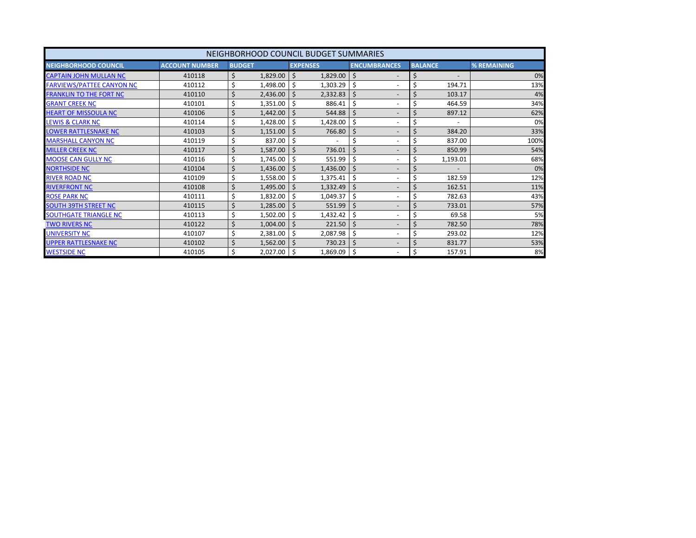<span id="page-0-0"></span>

|                                  |                       |               |          | NEIGHBORHOOD COUNCIL BUDGET SUMMARIES |                                           |                |          |             |
|----------------------------------|-----------------------|---------------|----------|---------------------------------------|-------------------------------------------|----------------|----------|-------------|
| <b>NEIGHBORHOOD COUNCIL</b>      | <b>ACCOUNT NUMBER</b> | <b>BUDGET</b> |          | <b>EXPENSES</b>                       | <b>ENCUMBRANCES</b>                       | <b>BALANCE</b> |          | % REMAINING |
| <b>CAPTAIN JOHN MULLAN NC</b>    | 410118                | \$            | 1,829.00 | -\$<br>1,829.00                       | \$                                        | \$             |          | 0%          |
| <b>FARVIEWS/PATTEE CANYON NC</b> | 410112                | \$            | 1,498.00 | \$<br>1,303.29                        | \$                                        | Ś              | 194.71   | 13%         |
| <b>FRANKLIN TO THE FORT NC</b>   | 410110                | \$            | 2,436.00 | \$<br>2,332.83                        | $\frac{1}{2}$<br>$\overline{\phantom{0}}$ | Ś              | 103.17   | 4%          |
| <b>GRANT CREEK NC</b>            | 410101                | \$            | 1,351.00 | \$<br>886.41                          | \$<br>۰                                   | Ś              | 464.59   | 34%         |
| <b>HEART OF MISSOULA NC</b>      | 410106                | \$            | 1,442.00 | 544.88<br>Ŝ                           | \$<br>$\overline{\phantom{0}}$            |                | 897.12   | 62%         |
| <b>LEWIS &amp; CLARK NC</b>      | 410114                | \$            | 1,428.00 | 1,428.00<br>\$                        | \$<br>$\overline{\phantom{0}}$            | \$             |          | 0%          |
| <b>LOWER RATTLESNAKE NC</b>      | 410103                | \$            | 1,151.00 | 766.80<br>\$                          | \$<br>$\overline{\phantom{a}}$            | Ś              | 384.20   | 33%         |
| <b>MARSHALL CANYON NC</b>        | 410119                | \$            | 837.00   | \$                                    | \$<br>۰                                   |                | 837.00   | 100%        |
| <b>MILLER CREEK NC</b>           | 410117                | \$            | 1,587.00 | \$<br>736.01                          | $\zeta$<br>٠                              |                | 850.99   | 54%         |
| <b>MOOSE CAN GULLY NC</b>        | 410116                | \$            | 1,745.00 | \$<br>551.99                          | \$<br>٠                                   | \$             | 1,193.01 | 68%         |
| <b>NORTHSIDE NC</b>              | 410104                | \$            | 1,436.00 | \$.<br>1,436.00                       | \$<br>٠                                   | Ś              |          | 0%          |
| <b>RIVER ROAD NC</b>             | 410109                | \$            | 1,558.00 | \$<br>1,375.41                        | \$<br>٠                                   | \$             | 182.59   | 12%         |
| <b>RIVERFRONT NC</b>             | 410108                | \$            | 1,495.00 | \$<br>1,332.49                        | \$<br>$\overline{\phantom{a}}$            | \$             | 162.51   | 11%         |
| <b>ROSE PARK NC</b>              | 410111                | \$            | 1,832.00 | \$<br>1,049.37                        | \$<br>۰                                   | \$             | 782.63   | 43%         |
| <b>SOUTH 39TH STREET NC</b>      | 410115                | \$            | 1,285.00 | 551.99<br>\$.                         | \$<br>$\overline{\phantom{a}}$            | Ś              | 733.01   | 57%         |
| <b>SOUTHGATE TRIANGLE NC</b>     | 410113                | \$            | 1,502.00 | \$<br>1,432.42                        | \$                                        | \$             | 69.58    | 5%          |
| <b>TWO RIVERS NC</b>             | 410122                | \$            | 1,004.00 | 221.50<br>\$                          | \$<br>$\overline{\phantom{0}}$            | \$             | 782.50   | 78%         |
| <b>UNIVERSITY NC</b>             | 410107                | \$            | 2,381.00 | 2,087.98<br>\$.                       | \$<br>۰                                   | \$             | 293.02   | 12%         |
| <b>UPPER RATTLESNAKE NC</b>      | 410102                | \$            | 1,562.00 | 730.23<br>Ŝ.                          | \$<br>$\overline{\phantom{a}}$            | Ś              | 831.77   | 53%         |
| <b>WESTSIDE NC</b>               | 410105                | \$            | 2,027.00 | \$<br>1,869.09                        | \$                                        | \$             | 157.91   | 8%          |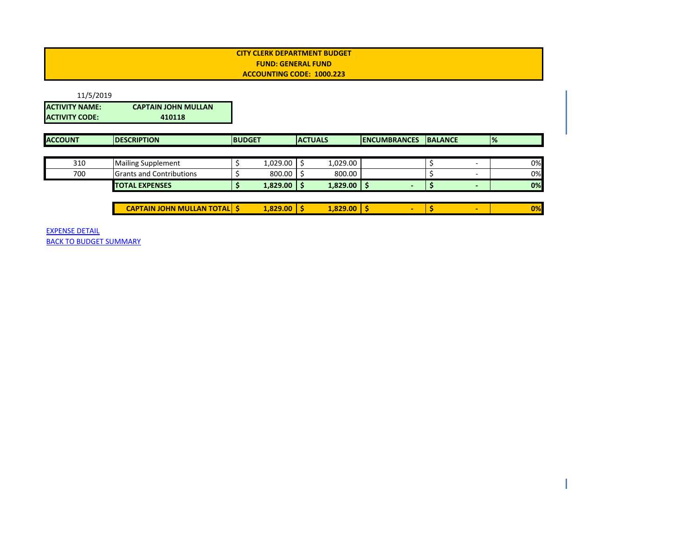<span id="page-1-0"></span>

| 11/5/2019                                      |                                      |               |                 |                |               |                     |                |                          |               |    |
|------------------------------------------------|--------------------------------------|---------------|-----------------|----------------|---------------|---------------------|----------------|--------------------------|---------------|----|
| <b>ACTIVITY NAME:</b><br><b>ACTIVITY CODE:</b> | <b>CAPTAIN JOHN MULLAN</b><br>410118 |               |                 |                |               |                     |                |                          |               |    |
| <b>ACCOUNT</b>                                 | <b>IDESCRIPTION</b>                  | <b>BUDGET</b> |                 | <b>ACTUALS</b> |               | <b>ENCUMBRANCES</b> | <b>BALANCE</b> |                          | $\frac{9}{6}$ |    |
|                                                |                                      |               |                 |                |               |                     |                |                          |               |    |
| 310                                            | <b>Mailing Supplement</b>            |               | 1,029.00        |                | 1,029.00      |                     |                | $\overline{\phantom{0}}$ |               | 0% |
| 700                                            | <b>Grants and Contributions</b>      |               | 800.00          |                | 800.00        |                     |                |                          |               | 0% |
|                                                | <b>TOTAL EXPENSES</b>                |               | $1,829.00$   \$ |                | $1,829.00$ \$ |                     | \$,            | $\overline{\phantom{0}}$ |               | 0% |
|                                                |                                      |               |                 |                |               |                     |                |                          |               |    |
|                                                | <b>CAPTAIN JOHN MULLAN TOTAL S</b>   |               | $1,829.00$   \$ |                | 1,829.00      | ٠                   |                | $\overline{\phantom{0}}$ |               | 0% |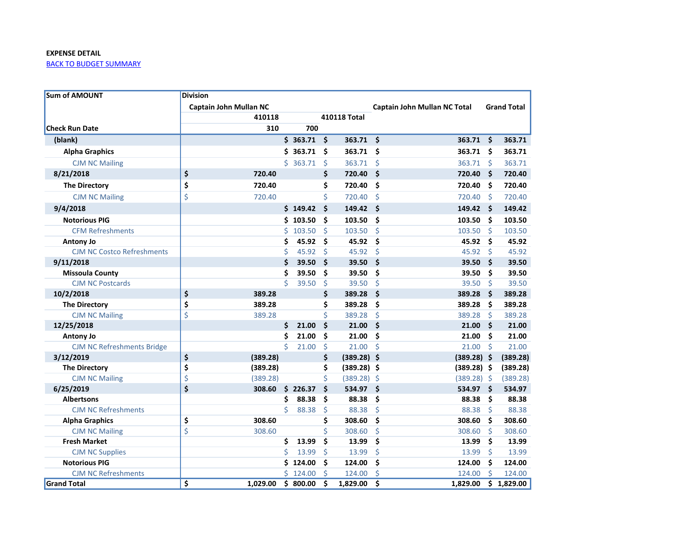<span id="page-2-0"></span>

| <b>Sum of AMOUNT</b>              | <b>Division</b>        |          |    |          |    |               |                               |              |                    |
|-----------------------------------|------------------------|----------|----|----------|----|---------------|-------------------------------|--------------|--------------------|
|                                   | Captain John Mullan NC |          |    |          |    |               | Captain John Mullan NC Total  |              | <b>Grand Total</b> |
|                                   |                        | 410118   |    |          |    | 410118 Total  |                               |              |                    |
| <b>Check Run Date</b>             |                        | 310      |    | 700      |    |               |                               |              |                    |
| (blank)                           |                        |          |    | \$363.71 | Ś. | 363.71        | $\ddot{\mathsf{s}}$<br>363.71 | Ś.           | 363.71             |
| <b>Alpha Graphics</b>             |                        |          |    | \$363.71 | Ś  | 363.71 \$     | 363.71                        | Š.           | 363.71             |
| <b>CJM NC Mailing</b>             |                        |          |    | \$363.71 | Ś  | 363.71        | -Ś<br>363.71                  | <sup>5</sup> | 363.71             |
| 8/21/2018                         | \$                     | 720.40   |    |          | \$ | 720.40        | $\ddot{\bm{\zeta}}$<br>720.40 | Š.           | 720.40             |
| <b>The Directory</b>              | \$                     | 720.40   |    |          | \$ | 720.40        | Ŝ.<br>720.40                  | .\$          | 720.40             |
| <b>CJM NC Mailing</b>             | \$                     | 720.40   |    |          | Ś  | 720.40        | -Ś<br>720.40                  | -Ś           | 720.40             |
| 9/4/2018                          |                        |          |    | \$149.42 | \$ | 149.42        | - \$<br>$149.42 \div$         |              | 149.42             |
| <b>Notorious PIG</b>              |                        |          | Ś. | 103.50   | Ś  | 103.50        | Ś.<br>103.50                  | . Ś          | 103.50             |
| <b>CFM Refreshments</b>           |                        |          | Ś  | 103.50   | Ś  | 103.50        | -Ś<br>103.50                  | Ŝ            | 103.50             |
| <b>Antony Jo</b>                  |                        |          | Ś  | 45.92    | Ś  | 45.92         | - \$<br>45.92                 | Ś            | 45.92              |
| <b>CJM NC Costco Refreshments</b> |                        |          | Ś  | 45.92    | \$ | 45.92         | $\zeta$<br>45.92              | Ś.           | 45.92              |
| 9/11/2018                         |                        |          | Ś  | 39.50    | Ś  | 39.50         | $\ddot{\bm{\zeta}}$<br>39.50  | Ś            | 39.50              |
| <b>Missoula County</b>            |                        |          | Ś  | 39.50    | Ś  | 39.50         | \$<br>39.50                   | Ś            | 39.50              |
| <b>CJM NC Postcards</b>           |                        |          | Ś  | 39.50    | Ś  | 39.50         | $\zeta$<br>39.50              | Ś            | 39.50              |
| 10/2/2018                         | \$                     | 389.28   |    |          | \$ | 389.28        | Ŝ.<br>389.28                  | \$           | 389.28             |
| <b>The Directory</b>              | \$                     | 389.28   |    |          | Ś  | 389.28        | \$<br>389.28                  | Ś            | 389.28             |
| <b>CJM NC Mailing</b>             | \$                     | 389.28   |    |          | Ś  | 389.28        | $\zeta$<br>389.28             | Ś            | 389.28             |
| 12/25/2018                        |                        |          | Ś  | 21.00    | \$ | 21.00         | $\ddot{\mathsf{s}}$<br>21.00  | Ś            | 21.00              |
| <b>Antony Jo</b>                  |                        |          | Ś  | 21.00    | Ś  | 21.00         | \$<br>21.00                   | Ś            | 21.00              |
| <b>CJM NC Refreshments Bridge</b> |                        |          | Ś  | 21.00    | Ś  | 21.00         | $\ddot{\mathsf{s}}$<br>21.00  | -Ś           | 21.00              |
| 3/12/2019                         | \$                     | (389.28) |    |          | \$ | $(389.28)$ \$ | $(389.28)$ \$                 |              | (389.28)           |
| <b>The Directory</b>              | \$                     | (389.28) |    |          | \$ | $(389.28)$ \$ | $(389.28)$ \$                 |              | (389.28)           |
| <b>CJM NC Mailing</b>             | \$                     | (389.28) |    |          | \$ | $(389.28)$ \$ | $(389.28)$ \$                 |              | (389.28)           |
| 6/25/2019                         | $\zeta$                | 308.60   |    | \$226.37 | \$ | 534.97        | $\ddot{\mathsf{s}}$<br>534.97 | Š.           | 534.97             |
| <b>Albertsons</b>                 |                        |          | \$ | 88.38    | \$ | 88.38         | \$<br>88.38                   | Ś            | 88.38              |
| <b>CJM NC Refreshments</b>        |                        |          | \$ | 88.38    | \$ | 88.38         | \$<br>88.38                   | \$           | 88.38              |
| <b>Alpha Graphics</b>             | \$                     | 308.60   |    |          | \$ | 308.60        | \$<br>308.60                  | Ś.           | 308.60             |
| <b>CJM NC Mailing</b>             | \$                     | 308.60   |    |          | Ś  | 308.60        | \$<br>308.60                  | Ś            | 308.60             |
| <b>Fresh Market</b>               |                        |          | \$ | 13.99    | Ś  | 13.99         | \$<br>13.99                   | Ś.           | 13.99              |
| <b>CJM NC Supplies</b>            |                        |          | Ś  | 13.99    | \$ | 13.99         | \$<br>13.99                   | \$           | 13.99              |
| <b>Notorious PIG</b>              |                        |          |    | \$124.00 | \$ | 124.00        | \$<br>124.00                  | \$           | 124.00             |
| <b>CJM NC Refreshments</b>        |                        |          | Ś. | 124.00   | Ś  | 124.00        | Ś<br>124.00                   | Ś            | 124.00             |
| <b>Grand Total</b>                | Ś                      | 1.029.00 |    | \$800.00 | Ś  | 1,829.00      | Ś.<br>1,829.00                |              | \$1,829.00         |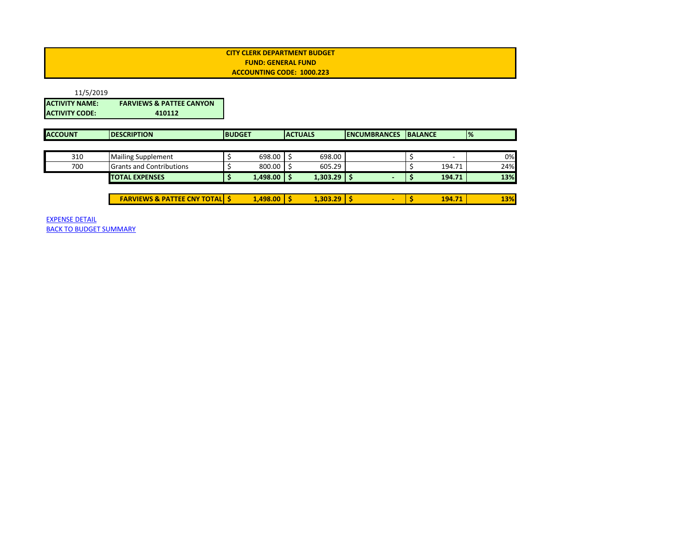<span id="page-3-0"></span>

| 11/5/2019             |                                          |               |          |   |                |                          |                |        |               |     |
|-----------------------|------------------------------------------|---------------|----------|---|----------------|--------------------------|----------------|--------|---------------|-----|
| <b>ACTIVITY NAME:</b> | <b>FARVIEWS &amp; PATTEE CANYON</b>      |               |          |   |                |                          |                |        |               |     |
| <b>ACTIVITY CODE:</b> | 410112                                   |               |          |   |                |                          |                |        |               |     |
| <b>ACCOUNT</b>        | <b>DESCRIPTION</b>                       | <b>BUDGET</b> |          |   | <b>ACTUALS</b> | <b>ENCUMBRANCES</b>      | <b>BALANCE</b> |        | $\frac{9}{6}$ |     |
|                       |                                          |               |          |   |                |                          |                |        |               |     |
| 310                   | <b>Mailing Supplement</b>                |               | 698.00   |   | 698.00         |                          |                |        |               | 0%  |
| 700                   | <b>Grants and Contributions</b>          |               | 800.00   |   | 605.29         |                          |                | 194.71 |               | 24% |
|                       | <b>TOTAL EXPENSES</b>                    |               | 1,498.00 | S | $1,303.29$ \$  |                          | S              | 194.71 |               | 13% |
|                       |                                          |               |          |   |                |                          |                |        |               |     |
|                       | <b>FARVIEWS &amp; PATTEE CNY TOTAL S</b> |               | 1,498.00 | s | $1,303.29$ \$  | $\overline{\phantom{0}}$ |                | 194.71 |               | 13% |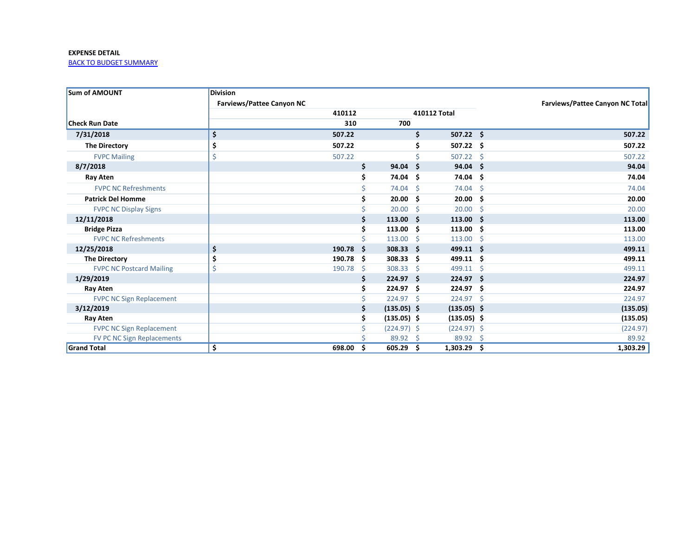<span id="page-4-0"></span>

| <b>Sum of AMOUNT</b>              | <b>Division</b>                  |        |          |               |     |                  |     |                                        |
|-----------------------------------|----------------------------------|--------|----------|---------------|-----|------------------|-----|----------------------------------------|
|                                   | <b>Farviews/Pattee Canyon NC</b> |        |          |               |     |                  |     | <b>Farviews/Pattee Canyon NC Total</b> |
|                                   |                                  | 410112 |          |               |     | 410112 Total     |     |                                        |
| <b>Check Run Date</b>             |                                  | 310    |          | 700           |     |                  |     |                                        |
| 7/31/2018                         | \$                               | 507.22 |          |               | \$  | $507.22 \quad $$ |     | 507.22                                 |
| <b>The Directory</b>              | \$                               | 507.22 |          |               | Ś   | 507.22           | .\$ | 507.22                                 |
| <b>FVPC Mailing</b>               | \$                               | 507.22 |          |               |     | 507.22           | -Ś  | 507.22                                 |
| 8/7/2018                          |                                  |        | \$       | 94.04         | '\$ | 94.04            | \$. | 94.04                                  |
| Ray Aten                          |                                  |        | \$       | 74.04 \$      |     | 74.04            | \$. | 74.04                                  |
| <b>FVPC NC Refreshments</b>       |                                  |        |          | 74.04         | Ŝ.  | 74.04            | Ŝ.  | 74.04                                  |
| <b>Patrick Del Homme</b>          |                                  |        |          | 20.00         | -\$ | 20.00            | Ŝ.  | 20.00                                  |
| <b>FVPC NC Display Signs</b>      |                                  |        |          | 20.00         | Ŝ.  | 20.00            | Ŝ.  | 20.00                                  |
| 12/11/2018                        |                                  |        | Ś        | 113.00        | - Ś | 113.00           | Ŝ   | 113.00                                 |
| <b>Bridge Pizza</b>               |                                  |        |          | 113.00        | Ŝ.  | 113.00           | Ŝ   | 113.00                                 |
| <b>FVPC NC Refreshments</b>       |                                  |        |          | 113.00        | Ŝ.  | 113.00           | Ŝ.  | 113.00                                 |
| 12/25/2018                        | \$                               | 190.78 | -S       | $308.33$ \$   |     | 499.11           | -S  | 499.11                                 |
| <b>The Directory</b>              | \$                               | 190.78 | -S       | 308.33        | -\$ | 499.11           | \$. | 499.11                                 |
| <b>FVPC NC Postcard Mailing</b>   |                                  | 190.78 | <b>S</b> | 308.33        | Ŝ.  | 499.11           | Ŝ.  | 499.11                                 |
| 1/29/2019                         |                                  |        |          | 224.97        | Ŝ.  | 224.97           | -Ś  | 224.97                                 |
| Ray Aten                          |                                  |        |          | 224.97        | Ŝ.  | 224.97           | \$. | 224.97                                 |
| <b>FVPC NC Sign Replacement</b>   |                                  |        |          | 224.97 \$     |     | 224.97           | -\$ | 224.97                                 |
| 3/12/2019                         |                                  |        |          | $(135.05)$ \$ |     | $(135.05)$ \$    |     | (135.05)                               |
| <b>Ray Aten</b>                   |                                  |        |          | $(135.05)$ \$ |     | $(135.05)$ \$    |     | (135.05)                               |
| <b>FVPC NC Sign Replacement</b>   |                                  |        |          | $(224.97)$ \$ |     | $(224.97)$ \$    |     | (224.97)                               |
| <b>FV PC NC Sign Replacements</b> |                                  |        |          | 89.92         | - Ś | 89.92            | Ŝ.  | 89.92                                  |
| <b>Grand Total</b>                | \$                               | 698.00 | \$       | 605.29        | -\$ | 1,303.29         | \$. | 1,303.29                               |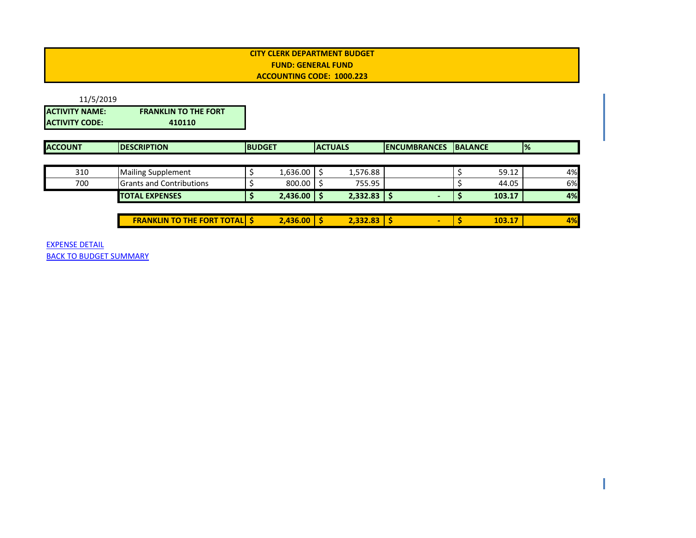<span id="page-5-0"></span>

| 11/5/2019             |                             |
|-----------------------|-----------------------------|
| <b>ACTIVITY NAME:</b> | <b>FRANKLIN TO THE FORT</b> |
| <b>ACTIVITY CODE:</b> | 410110                      |

| <b>ACCOUNT</b> | <b>IDESCRIPTION</b>             | <b>BUDGET</b> |                 | <b>ACTUALS</b>  | <b>IENCUMBRANCES</b> | <b>IBALANCE</b> |        | $\frac{1}{2}$ |    |
|----------------|---------------------------------|---------------|-----------------|-----------------|----------------------|-----------------|--------|---------------|----|
|                |                                 |               |                 |                 |                      |                 |        |               |    |
| 310            | <b>Mailing Supplement</b>       |               | 1,636.00        | 1,576.88        |                      |                 | 59.12  |               | 4% |
| 700            | <b>Grants and Contributions</b> |               | 800.00          | 755.95          |                      |                 | 44.05  |               | 6% |
|                | <b>TOTAL EXPENSES</b>           |               | $2,436.00$   \$ | $2,332.83$   \$ | $\sim$               |                 | 103.17 |               | 4% |
|                |                                 |               |                 |                 |                      |                 |        |               |    |

**FRANKLIN TO THE FORT TOTAL \$ 2,436.00 \$ 2,332.83 \$ - \$ 103.17 4%**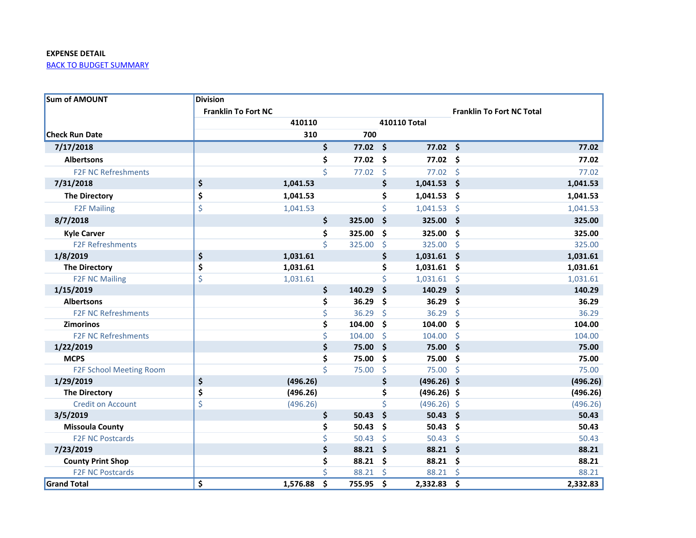<span id="page-6-0"></span>

| <b>Sum of AMOUNT</b>       | <b>Division</b>            |          |              |                     |                                  |          |
|----------------------------|----------------------------|----------|--------------|---------------------|----------------------------------|----------|
|                            | <b>Franklin To Fort NC</b> |          |              |                     | <b>Franklin To Fort NC Total</b> |          |
|                            |                            | 410110   |              | 410110 Total        |                                  |          |
| <b>Check Run Date</b>      |                            | 310      | 700          |                     |                                  |          |
| 7/17/2018                  |                            |          | \$<br>77.02  | \$<br>77.02         | \$                               | 77.02    |
| <b>Albertsons</b>          |                            |          | \$<br>77.02  | \$<br>77.02         | \$                               | 77.02    |
| <b>F2F NC Refreshments</b> |                            |          | \$<br>77.02  | \$<br>77.02         | \$                               | 77.02    |
| 7/31/2018                  | \$                         | 1,041.53 |              | \$<br>1,041.53      | \$                               | 1,041.53 |
| <b>The Directory</b>       | \$                         | 1,041.53 |              | \$<br>1,041.53      | \$                               | 1,041.53 |
| <b>F2F Mailing</b>         | \$                         | 1,041.53 |              | \$<br>1,041.53      | \$                               | 1,041.53 |
| 8/7/2018                   |                            |          | \$<br>325.00 | \$<br>325.00        | \$                               | 325.00   |
| <b>Kyle Carver</b>         |                            |          | \$<br>325.00 | \$<br>325.00        | \$                               | 325.00   |
| <b>F2F Refreshments</b>    |                            |          | \$<br>325.00 | \$<br>325.00        | \$                               | 325.00   |
| 1/8/2019                   | \$                         | 1,031.61 |              | \$<br>$1,031.61$ \$ |                                  | 1,031.61 |
| <b>The Directory</b>       | \$                         | 1,031.61 |              | \$<br>1,031.61      | .\$                              | 1,031.61 |
| <b>F2F NC Mailing</b>      | \$                         | 1,031.61 |              | \$<br>1,031.61      | \$                               | 1,031.61 |
| 1/15/2019                  |                            |          | \$<br>140.29 | \$<br>140.29        | \$                               | 140.29   |
| <b>Albertsons</b>          |                            |          | \$<br>36.29  | \$<br>36.29         | \$                               | 36.29    |
| <b>F2F NC Refreshments</b> |                            |          | \$<br>36.29  | \$<br>36.29         | \$                               | 36.29    |
| <b>Zimorinos</b>           |                            |          | \$<br>104.00 | \$<br>104.00        | \$                               | 104.00   |
| <b>F2F NC Refreshments</b> |                            |          | \$<br>104.00 | \$<br>104.00        | \$                               | 104.00   |
| 1/22/2019                  |                            |          | \$<br>75.00  | \$<br>75.00         | \$                               | 75.00    |
| <b>MCPS</b>                |                            |          | \$<br>75.00  | \$<br>75.00         | \$                               | 75.00    |
| F2F School Meeting Room    |                            |          | \$<br>75.00  | \$<br>75.00         | \$                               | 75.00    |
| 1/29/2019                  | \$                         | (496.26) |              | \$<br>$(496.26)$ \$ |                                  | (496.26) |
| <b>The Directory</b>       | \$                         | (496.26) |              | \$<br>$(496.26)$ \$ |                                  | (496.26) |
| <b>Credit on Account</b>   | \$                         | (496.26) |              | \$<br>(496.26)      | $\varsigma$                      | (496.26) |
| 3/5/2019                   |                            |          | \$<br>50.43  | \$<br>50.43         | \$                               | 50.43    |
| <b>Missoula County</b>     |                            |          | \$<br>50.43  | \$<br>50.43         | \$                               | 50.43    |
| <b>F2F NC Postcards</b>    |                            |          | \$<br>50.43  | \$<br>50.43         | \$                               | 50.43    |
| 7/23/2019                  |                            |          | \$<br>88.21  | \$<br>88.21         | \$                               | 88.21    |
| <b>County Print Shop</b>   |                            |          | \$<br>88.21  | \$<br>88.21         | \$                               | 88.21    |
| <b>F2F NC Postcards</b>    |                            |          | \$<br>88.21  | \$<br>88.21         | \$                               | 88.21    |
| <b>Grand Total</b>         | \$                         | 1,576.88 | \$<br>755.95 | \$<br>2,332.83      | \$                               | 2,332.83 |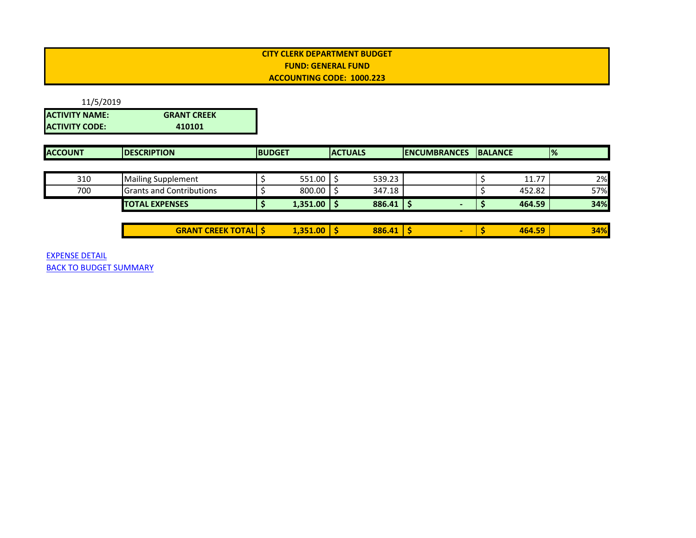<span id="page-7-0"></span>

| 11/5/2019             |                    |
|-----------------------|--------------------|
| <b>ACTIVITY NAME:</b> | <b>GRANT CREEK</b> |
| <b>ACTIVITY CODE:</b> | 410101             |

| <b>ACCOUNT</b> | <b>IDESCRIPTION</b>              | <b>BUDGET</b> |          | <b>ACTUALS</b> |        | <b>IENCUMBRANCES</b> | <b>BALANCE</b> |        | $\frac{9}{6}$ |
|----------------|----------------------------------|---------------|----------|----------------|--------|----------------------|----------------|--------|---------------|
|                |                                  |               |          |                |        |                      |                |        |               |
| 310            | <b>Mailing Supplement</b>        |               | 551.00   |                | 539.23 |                      |                | 11.77  | 2%            |
| 700            | <b>IGrants and Contributions</b> |               | 800.00   |                | 347.18 |                      |                | 452.82 | 57%           |
|                | <b>TOTAL EXPENSES</b>            |               | 1,351.00 |                | 886.41 |                      |                | 464.59 | 34%           |
|                |                                  |               |          |                |        |                      |                |        |               |

| <b>CREEK TOTALL</b><br>$\cdots$<br>GK | $\sim$ | .00 <sub>1</sub><br>251 | . . | 886.41 |  | EO<br>464. | 34% |
|---------------------------------------|--------|-------------------------|-----|--------|--|------------|-----|
|                                       |        |                         |     |        |  |            |     |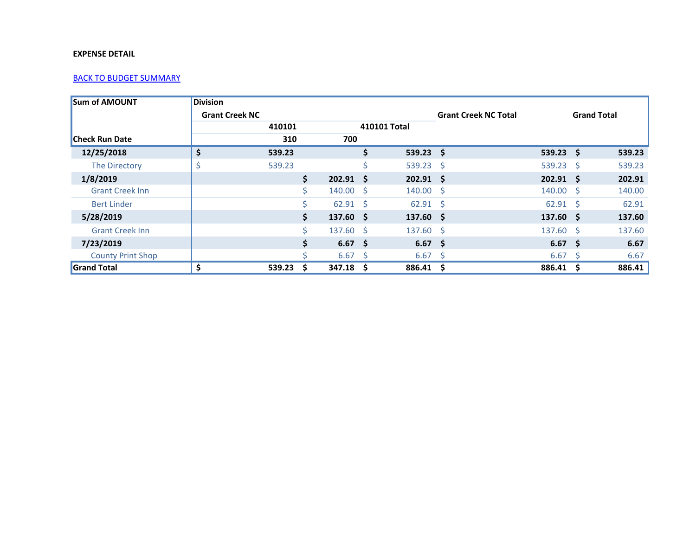<span id="page-8-0"></span>

| <b>Sum of AMOUNT</b>     | <b>Division</b>       |        |     |                  |    |                  |                             |                   |                    |        |
|--------------------------|-----------------------|--------|-----|------------------|----|------------------|-----------------------------|-------------------|--------------------|--------|
|                          | <b>Grant Creek NC</b> |        |     |                  |    |                  | <b>Grant Creek NC Total</b> |                   | <b>Grand Total</b> |        |
|                          |                       | 410101 |     |                  |    | 410101 Total     |                             |                   |                    |        |
| <b>Check Run Date</b>    |                       | 310    |     | 700              |    |                  |                             |                   |                    |        |
| 12/25/2018               | \$                    | 539.23 |     |                  | \$ | $539.23$ \$      |                             | $539.23$ \$       |                    | 539.23 |
| The Directory            |                       | 539.23 |     |                  | \$ | $539.23$ \$      |                             | 539.23 \$         |                    | 539.23 |
| 1/8/2019                 |                       |        | \$  | $202.91 \quad $$ |    | $202.91 \quad $$ |                             | $202.91$ \$       |                    | 202.91 |
| <b>Grant Creek Inn</b>   |                       |        | Ś.  | $140.00 \div$    |    | $140.00 \pm 5$   |                             | $140.00 \quad$ \$ |                    | 140.00 |
| <b>Bert Linder</b>       |                       |        | \$. | $62.91$ \$       |    | $62.91 \quad $$  |                             | $62.91 \quad $5$  |                    | 62.91  |
| 5/28/2019                |                       |        | \$  | $137.60 \quad $$ |    | $137.60 \quad $$ |                             | $137.60 \quad $$  |                    | 137.60 |
| <b>Grant Creek Inn</b>   |                       |        | Ś.  | $137.60 \div$    |    | $137.60$ \$      |                             | $137.60 \quad $$  |                    | 137.60 |
| 7/23/2019                |                       |        | \$  | $6.67 \quad $$   |    | $6.67 \quad $$   |                             | $6.67 \quad$ \$   |                    | 6.67   |
| <b>County Print Shop</b> |                       |        | ς   | $6.67 \quad$ \$  |    | $6.67 \quad$ \$  |                             | 6.67              | - S                | 6.67   |
| <b>Grand Total</b>       | \$                    | 539.23 | S   | 347.18           | S  | 886.41 \$        |                             | 886.41            | - S                | 886.41 |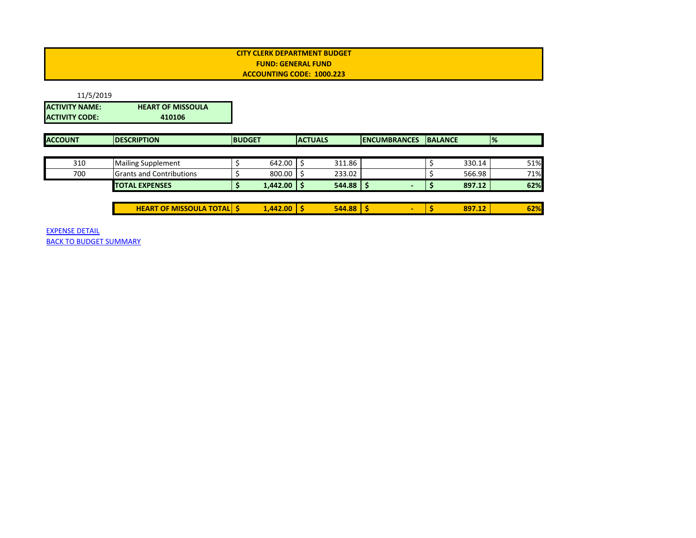<span id="page-9-0"></span>

| 11/5/2019       |                          |
|-----------------|--------------------------|
| IACTIVITY NAME: | <b>HEART OF MISSOULA</b> |
| IACTIVITY CODE: | 410106                   |

| <b>ACCOUNT</b> | <b>IDESCRIPTION</b>              | <b>IBUDGET</b>  |  | <b>ACTUALS</b> | <b>IENCUMBRANCES</b> | <b>IBALANCE</b> |        | $\frac{1}{2}$ |
|----------------|----------------------------------|-----------------|--|----------------|----------------------|-----------------|--------|---------------|
|                |                                  |                 |  |                |                      |                 |        |               |
| 310            | <b>Mailing Supplement</b>        | 642.00          |  | 311.86         |                      |                 | 330.14 | 51%           |
| 700            | <b>Grants and Contributions</b>  | $800.00$ \$     |  | 233.02         |                      |                 | 566.98 | 71%           |
|                | <b>TOTAL EXPENSES</b>            | $1,442.00$   \$ |  | 544.88         |                      |                 | 897.12 | 62%           |
|                |                                  |                 |  |                |                      |                 |        |               |
|                | <b>HEART OF MISSOULA TOTAL S</b> | $1,442.00$ \$   |  | 544.88         | -                    |                 | 897.12 | 62%           |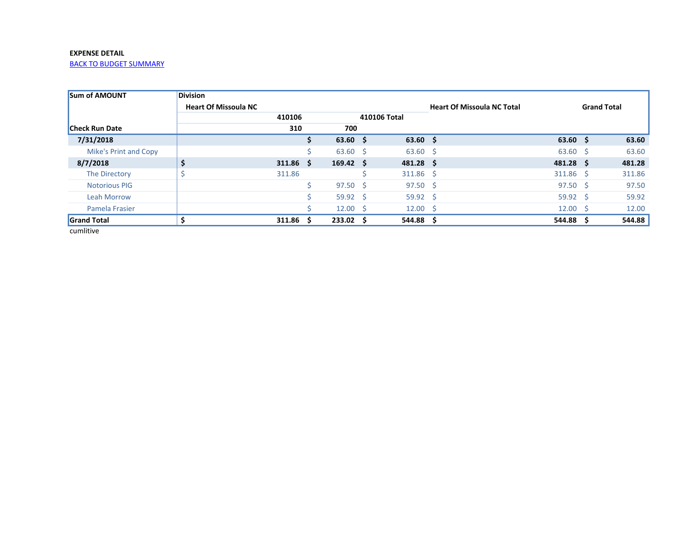<span id="page-10-0"></span>[BACK TO BUDGET SUMMARY](#page-0-0)

| <b>Sum of AMOUNT</b>         | <b>Division</b>             |        |   |                   |              |                  |                                   |                  |                    |
|------------------------------|-----------------------------|--------|---|-------------------|--------------|------------------|-----------------------------------|------------------|--------------------|
|                              | <b>Heart Of Missoula NC</b> |        |   |                   |              |                  | <b>Heart Of Missoula NC Total</b> |                  | <b>Grand Total</b> |
|                              |                             | 410106 |   |                   | 410106 Total |                  |                                   |                  |                    |
| <b>Check Run Date</b>        |                             | 310    |   | 700               |              |                  |                                   |                  |                    |
| 7/31/2018                    |                             |        | S | $63.60 \quad $$   |              | $63.60 \quad $$  |                                   | $63.60 \quad $$  | 63.60              |
| <b>Mike's Print and Copy</b> |                             |        |   | $63.60 \quad $$   |              | $63.60$ \$       |                                   | $63.60$ \$       | 63.60              |
| 8/7/2018                     | \$                          | 311.86 | S | $169.42 \quad $$  |              | $481.28 \quad $$ |                                   | $481.28$ \$      | 481.28             |
| The Directory                |                             | 311.86 |   |                   |              | $311.86$ \$      |                                   | $311.86$ \$      | 311.86             |
| <b>Notorious PIG</b>         |                             |        |   | $97.50 \quad $$   |              | $97.50 \quad $$  |                                   | $97.50$ \$       | 97.50              |
| Leah Morrow                  |                             |        |   | $59.92 \quad$ \$  |              | $59.92 \quad$ \$ |                                   | $59.92 \quad$ \$ | 59.92              |
| Pamela Frasier               |                             |        |   | $12.00 \quad $$   |              | $12.00 \quad $$  |                                   | $12.00 \quad$ \$ | 12.00              |
| <b>Grand Total</b>           |                             | 311.86 | S | $233.02 \quad$ \$ |              | 544.88           | S                                 | $544.88 \quad $$ | 544.88             |

cumlitive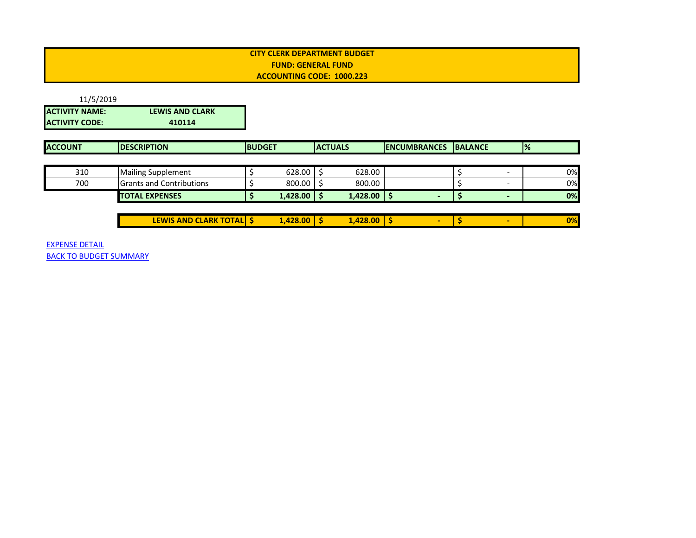<span id="page-11-0"></span>

| 11/5/2019             |                        |
|-----------------------|------------------------|
| <b>ACTIVITY NAME:</b> | <b>LEWIS AND CLARK</b> |
| <b>ACTIVITY CODE:</b> | 410114                 |

| <b>IDESCRIPTION</b> |                                                                                       | <b>BUDGET</b> |  | <b>ACTUALS</b> | <b>IENCUMBRANCES</b> | <b>BALANCE</b> |  | $\frac{9}{6}$ |    |
|---------------------|---------------------------------------------------------------------------------------|---------------|--|----------------|----------------------|----------------|--|---------------|----|
|                     |                                                                                       |               |  |                |                      |                |  |               |    |
|                     |                                                                                       | 628.00        |  | 628.00         |                      |                |  |               | 0% |
|                     |                                                                                       | 800.00        |  | 800.00         |                      |                |  |               | 0% |
|                     |                                                                                       | 1,428.00      |  | 1,428.00       |                      |                |  |               | 0% |
|                     | <b>Mailing Supplement</b><br><b>Grants and Contributions</b><br><b>TOTAL EXPENSES</b> |               |  |                |                      |                |  |               |    |

| .428.00<br><b>CLARK TOTALL</b><br><b>AND C</b><br>.428.00<br><b>LEWIS</b> |  |  |  |    |
|---------------------------------------------------------------------------|--|--|--|----|
|                                                                           |  |  |  | 0% |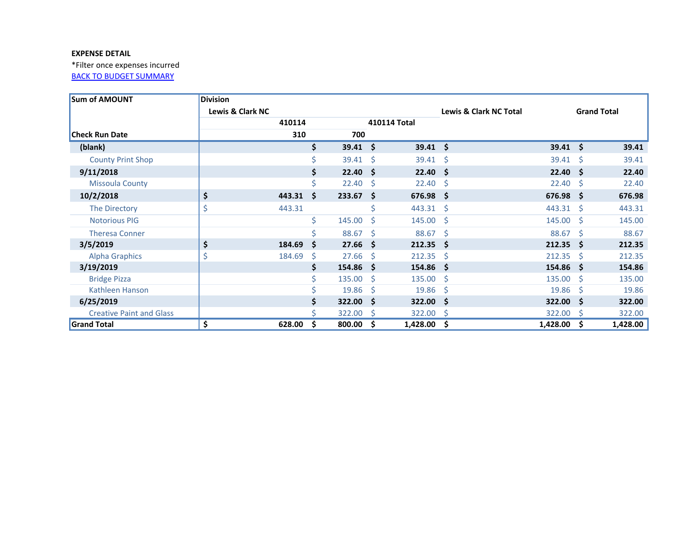<span id="page-12-0"></span>\*Filter once expenses incurred **[BACK TO BUDGET SUMMARY](#page-0-0)** 

| <b>Sum of AMOUNT</b>            | <b>Division</b>  |                  |              |        |              |                  |                                   |                  |              |                    |
|---------------------------------|------------------|------------------|--------------|--------|--------------|------------------|-----------------------------------|------------------|--------------|--------------------|
|                                 | Lewis & Clark NC |                  |              |        |              |                  | <b>Lewis &amp; Clark NC Total</b> |                  |              | <b>Grand Total</b> |
|                                 |                  | 410114           |              |        |              | 410114 Total     |                                   |                  |              |                    |
| <b>Check Run Date</b>           |                  | 310              |              | 700    |              |                  |                                   |                  |              |                    |
| (blank)                         |                  |                  | Ŝ.           | 39.41  | Ŝ.           | $39.41 \quad $$  |                                   | $39.41 \quad $$  |              | 39.41              |
| <b>County Print Shop</b>        |                  |                  |              | 39.41  | <sub>S</sub> | $39.41 \quad$ \$ |                                   | $39.41 \quad$ \$ |              | 39.41              |
| 9/11/2018                       |                  |                  | \$           | 22.40  | Ŝ.           | $22.40 \div$     |                                   | $22.40 \div$     |              | 22.40              |
| <b>Missoula County</b>          |                  |                  | Ś            | 22.40  | S            | 22.40            | - \$                              | 22.40            | '\$          | 22.40              |
| 10/2/2018                       | \$               | $443.31 \quad $$ |              | 233.67 | Ŝ.           | $676.98$ \$      |                                   | 676.98 \$        |              | 676.98             |
| The Directory                   | \$               | 443.31           |              |        | Ś            | $443.31 \quad $$ |                                   | 443.31 \$        |              | 443.31             |
| <b>Notorious PIG</b>            |                  |                  | \$           | 145.00 | Ŝ.           | 145.00%          |                                   | 145.00%          |              | 145.00             |
| <b>Theresa Conner</b>           |                  |                  | Ś            | 88.67  | -S           | $88.67$ \$       |                                   | $88.67$ \$       |              | 88.67              |
| 3/5/2019                        | \$               | 184.69           | -Ś           | 27.66  | Ŝ.           | $212.35$ \$      |                                   | $212.35$ \$      |              | 212.35             |
| <b>Alpha Graphics</b>           | \$               | 184.69           | <sub>S</sub> | 27.66  | -S           | 212.35           | -S                                | 212.35           | -S           | 212.35             |
| 3/19/2019                       |                  |                  | Ś            | 154.86 | -S           | $154.86\quad$ \$ |                                   | $154.86$ \$      |              | 154.86             |
| <b>Bridge Pizza</b>             |                  |                  | Ś            | 135.00 | S            | 135.00           | - \$                              | 135.00           | <sub>S</sub> | 135.00             |
| Kathleen Hanson                 |                  |                  |              | 19.86  | S            | 19.86            | - \$                              | 19.86            | -Ś           | 19.86              |
| 6/25/2019                       |                  |                  |              | 322.00 | <b>S</b>     | 322.00 \$        |                                   | 322.00 \$        |              | 322.00             |
| <b>Creative Paint and Glass</b> |                  |                  |              | 322.00 | -S           | 322.00 \$        |                                   | 322.00           | S            | 322.00             |
| <b>Grand Total</b>              | \$               | 628.00           | S            | 800.00 | \$           | 1,428.00         | .s                                | 1,428.00         | S            | 1,428.00           |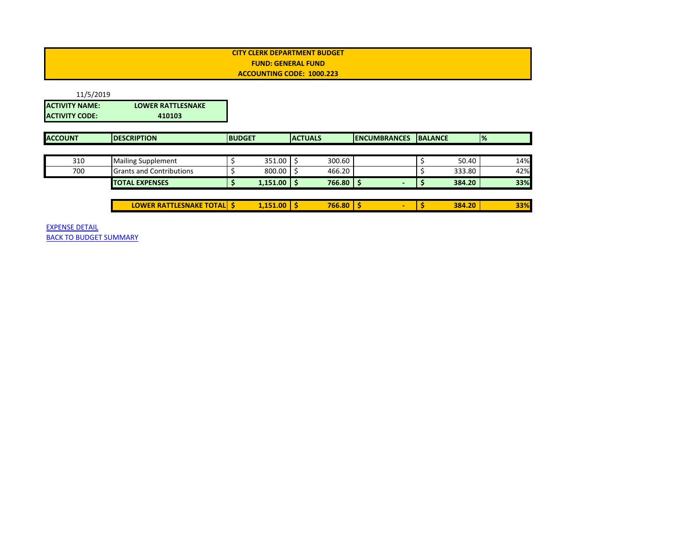<span id="page-13-0"></span>

| 11/5/2019             |                          |
|-----------------------|--------------------------|
| <b>ACTIVITY NAME:</b> | <b>LOWER RATTLESNAKE</b> |
| IACTIVITY CODE:       | 410103                   |

| <b>ACCOUNT</b> | <b>DESCRIPTION</b>                 | <b>BUDGET</b>   | <b>ACTUALS</b> |        | <b>IENCUMBRANCES</b> | <b>BALANCE</b> | $\frac{9}{6}$ |
|----------------|------------------------------------|-----------------|----------------|--------|----------------------|----------------|---------------|
|                |                                    |                 |                |        |                      |                |               |
| 310            | <b>Mailing Supplement</b>          | 351.00          |                | 300.60 |                      | 50.40          | 14%           |
| 700            | <b>Grants and Contributions</b>    | 800.00          |                | 466.20 |                      | 333.80         | 42%           |
|                | <b>TOTAL EXPENSES</b>              | $1,151.00$   \$ |                | 766.80 | -                    | 384.20         | 33%           |
|                |                                    |                 |                |        |                      |                |               |
|                | <b>LOWER RATTLESNAKE TOTAL   S</b> | $1,151.00$   \$ |                | 766.80 | -                    | 384.20         | 33%           |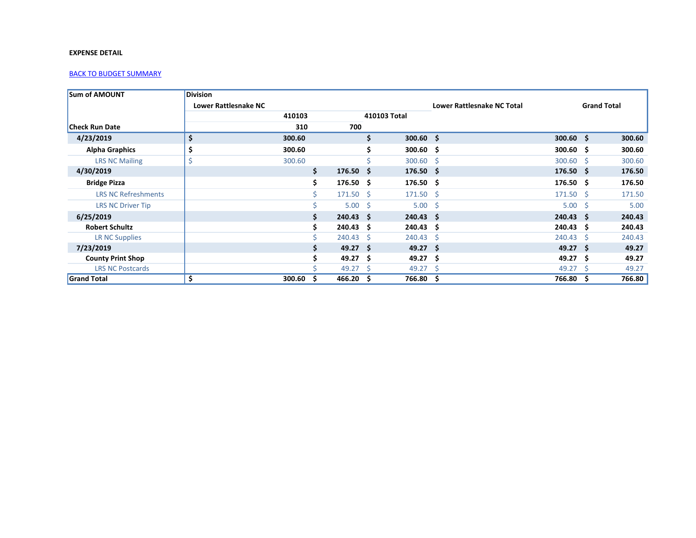<span id="page-14-0"></span>

| <b>Sum of AMOUNT</b>       | <b>Division</b>             |        |                            |                |                      |                                   |                   |                    |        |
|----------------------------|-----------------------------|--------|----------------------------|----------------|----------------------|-----------------------------------|-------------------|--------------------|--------|
|                            | <b>Lower Rattlesnake NC</b> |        |                            |                |                      | <b>Lower Rattlesnake NC Total</b> |                   | <b>Grand Total</b> |        |
|                            |                             | 410103 |                            |                | 410103 Total         |                                   |                   |                    |        |
| <b>Check Run Date</b>      |                             | 310    |                            | 700            |                      |                                   |                   |                    |        |
| 4/23/2019                  | \$                          | 300.60 |                            |                | \$.<br>$300.60$ \$   |                                   | $300.60$ \$       |                    | 300.60 |
| <b>Alpha Graphics</b>      | \$                          | 300.60 |                            |                | $300.60 \quad $$     |                                   | $300.60 \quad $$  |                    | 300.60 |
| <b>LRS NC Mailing</b>      |                             | 300.60 |                            |                | $300.60$ \$          |                                   | $300.60$ \$       |                    | 300.60 |
| 4/30/2019                  |                             |        | \$<br>$176.50 \quad $$     |                | $176.50\frac{1}{2}$  |                                   | $176.50 \quad $$  |                    | 176.50 |
| <b>Bridge Pizza</b>        |                             |        | \$.<br>$176.50 \quad $$    |                | $176.50 \; \text{S}$ |                                   | $176.50 \quad $$  |                    | 176.50 |
| <b>LRS NC Refreshments</b> |                             |        | $171.50 \text{ } \text{S}$ |                | $171.50$ \$          |                                   | $171.50 \pm 5$    |                    | 171.50 |
| <b>LRS NC Driver Tip</b>   |                             |        |                            | $5.00 \quad $$ | $5.00 \quad $$       |                                   | $5.00 \quad $$    |                    | 5.00   |
| 6/25/2019                  |                             |        | \$.<br>$240.43 \quad $$    |                | $240.43 \quad $$     |                                   | $240.43 \quad $$  |                    | 240.43 |
| <b>Robert Schultz</b>      |                             |        | $240.43 \quad $$           |                | $240.43 \quad $$     |                                   | $240.43 \quad $$  |                    | 240.43 |
| LR NC Supplies             |                             |        | $240.43 \quad $$           |                | $240.43 \quad $$     |                                   | $240.43 \quad $5$ |                    | 240.43 |
| 7/23/2019                  |                             |        | $49.27 \quad$ \$           |                | $49.27$ \$           |                                   | $49.27 \quad$ \$  |                    | 49.27  |
| <b>County Print Shop</b>   |                             |        | $49.27$ \$                 |                | $49.27$ \$           |                                   | $49.27$ \$        |                    | 49.27  |
| <b>LRS NC Postcards</b>    |                             |        | $49.27 \quad$ \$           |                | $49.27$ \$           |                                   | 49.27             | - S                | 49.27  |
| <b>Grand Total</b>         | \$                          | 300.60 | 466.20%<br>s               |                | 766.80 \$            |                                   | 766.80            | S                  | 766.80 |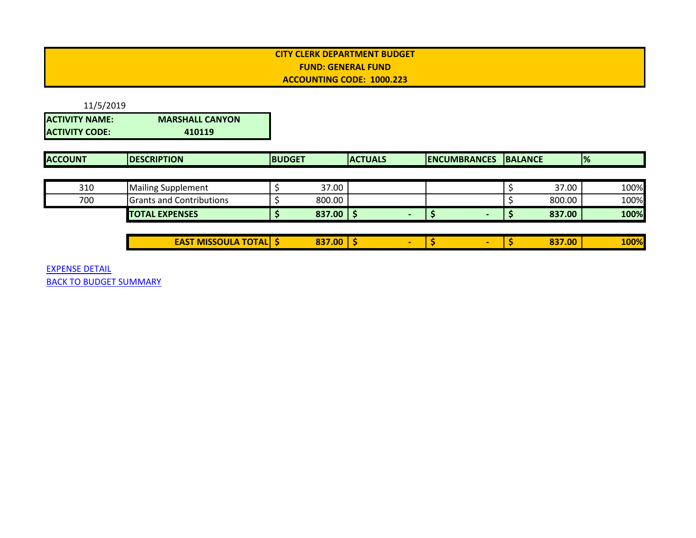<span id="page-15-0"></span>11/5/2019 **ACTIVITY NAME: MARSHALL CANYON ACTIVITY CODE: 410119**

| <b>ACCOUNT</b> | <b>IDESCRIPTION</b>             | <b>BUDGET</b> | <b>ACTUALS</b> | <b>IENCUMBRANCES IBALANCE</b> |        | $\frac{9}{6}$ |
|----------------|---------------------------------|---------------|----------------|-------------------------------|--------|---------------|
|                |                                 |               |                |                               |        |               |
| 310            | <b>Mailing Supplement</b>       | 37.00         |                |                               | 37.00  | 100%          |
| 700            | <b>Grants and Contributions</b> | 800.00        |                |                               | 800.00 | 100%          |
|                | <b>TOTAL EXPENSES</b>           | $837.00$   \$ |                |                               | 837.00 | 100%          |

| <b>TOTAL</b><br><b>EAST MISSOULA</b><br>SOULA | 837.00 |  |  |  | 837.00 | <b>100%</b> |
|-----------------------------------------------|--------|--|--|--|--------|-------------|
|                                               |        |  |  |  |        |             |

EXPENSE DETAIL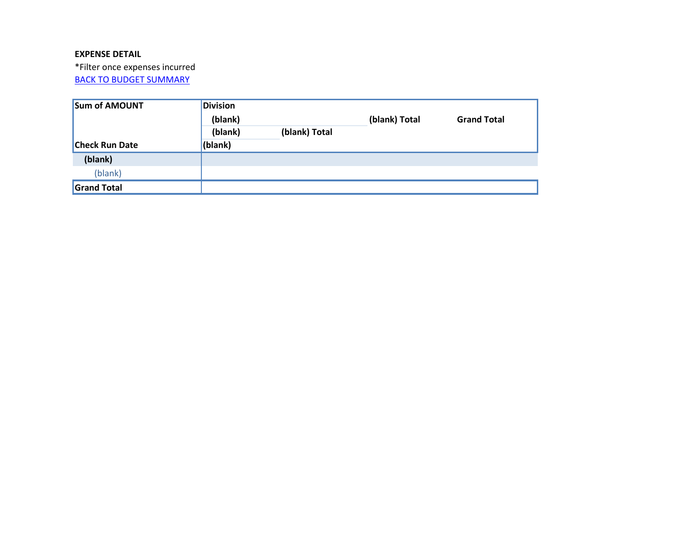\*Filter once expenses incurred

| <b>Sum of AMOUNT</b>  | <b>Division</b> |               |               |                    |  |  |
|-----------------------|-----------------|---------------|---------------|--------------------|--|--|
|                       | (blank)         |               | (blank) Total | <b>Grand Total</b> |  |  |
|                       | (blank)         | (blank) Total |               |                    |  |  |
| <b>Check Run Date</b> | (blank)         |               |               |                    |  |  |
| (blank)               |                 |               |               |                    |  |  |
| (blank)               |                 |               |               |                    |  |  |
| <b>Grand Total</b>    |                 |               |               |                    |  |  |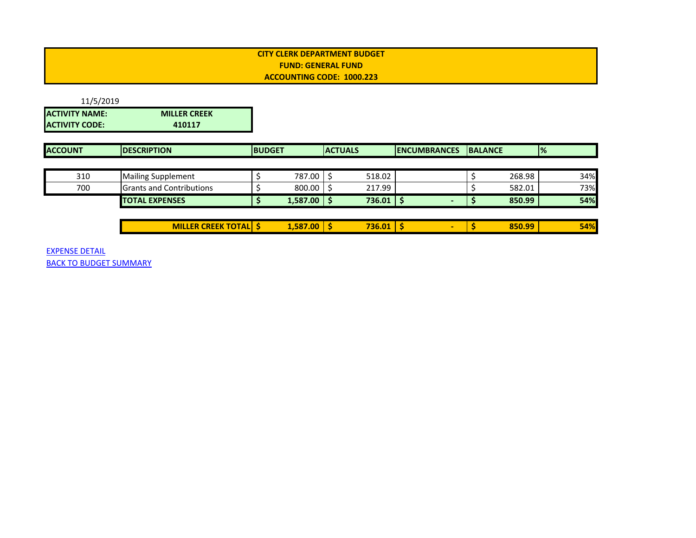<span id="page-17-0"></span>

| 11/5/2019             |                     |
|-----------------------|---------------------|
| <b>ACTIVITY NAME:</b> | <b>MILLER CREEK</b> |
| <b>ACTIVITY CODE:</b> | 410117              |

| <b>ACCOUNT</b> | <b>IDESCRIPTION</b>              | <b>IBUDGET</b> |                 | <b>ACTUALS</b> |               | <b>IENCUMBRANCES</b> | <b>BALANCE</b> |        | $\frac{9}{6}$ |
|----------------|----------------------------------|----------------|-----------------|----------------|---------------|----------------------|----------------|--------|---------------|
|                |                                  |                |                 |                |               |                      |                |        |               |
| 310            | <b>Mailing Supplement</b>        |                | 787.00          |                | 518.02        |                      |                | 268.98 | 34%           |
| 700            | <b>IGrants and Contributions</b> |                | 800.00          |                | 217.99        |                      |                | 582.01 | 73%           |
|                | <b>TOTAL EXPENSES</b>            |                | $1,587.00$   \$ |                | $736.01$   \$ |                      |                | 850.99 | 54%           |
|                |                                  |                |                 |                |               |                      |                |        |               |
|                | <b>MILLER CREEK TOTAL S</b>      |                | 1,587.00        |                | 736.01        |                      |                | 850.99 | 54%           |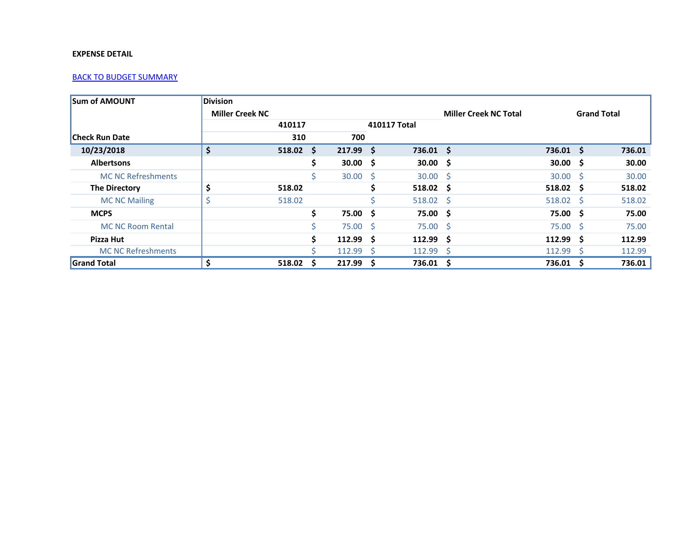<span id="page-18-0"></span>

| <b>Sum of AMOUNT</b>      | <b>Division</b>        |        |     |             |              |                  |                              |                       |                    |        |
|---------------------------|------------------------|--------|-----|-------------|--------------|------------------|------------------------------|-----------------------|--------------------|--------|
|                           | <b>Miller Creek NC</b> |        |     |             |              |                  | <b>Miller Creek NC Total</b> |                       | <b>Grand Total</b> |        |
|                           |                        | 410117 |     |             |              | 410117 Total     |                              |                       |                    |        |
| <b>Check Run Date</b>     |                        | 310    |     | 700         |              |                  |                              |                       |                    |        |
| 10/23/2018                | \$                     | 518.02 | Ŝ.  | $217.99$ \$ |              | $736.01 \quad $$ |                              | $736.01$ \$           |                    | 736.01 |
| <b>Albertsons</b>         |                        |        | S   | 30.00%      |              | $30.00 \quad $$  |                              | $30.00 \quad $$       |                    | 30.00  |
| <b>MC NC Refreshments</b> |                        |        |     | 30.00       | <sub>S</sub> | $30.00$ \$       |                              | $30.00$ \$            |                    | 30.00  |
| <b>The Directory</b>      | \$                     | 518.02 |     |             |              | $518.02 \quad $$ |                              | $518.02 \quad $$      |                    | 518.02 |
| <b>MC NC Mailing</b>      |                        | 518.02 |     |             |              | $518.02 \quad $$ |                              | $518.02 \quad $$      |                    | 518.02 |
| <b>MCPS</b>               |                        |        | Ś   | 75.00       | S            | 75.00 \$         |                              | 75.00 \$              |                    | 75.00  |
| <b>MC NC Room Rental</b>  |                        |        |     | 75.00 \$    |              | $75.00 \pm 5$    |                              | 75.00%                |                    | 75.00  |
| Pizza Hut                 |                        |        | \$. | 112.99 S    |              | $112.99$ \$      |                              | $112.99 \text{ } \xi$ |                    | 112.99 |
| <b>MC NC Refreshments</b> |                        |        |     | 112.99      | -S           | $112.99$ \$      |                              | $112.99$ \$           |                    | 112.99 |
| <b>Grand Total</b>        |                        | 518.02 | S   | 217.99      | S            | $736.01$ \$      |                              | 736.01 \$             |                    | 736.01 |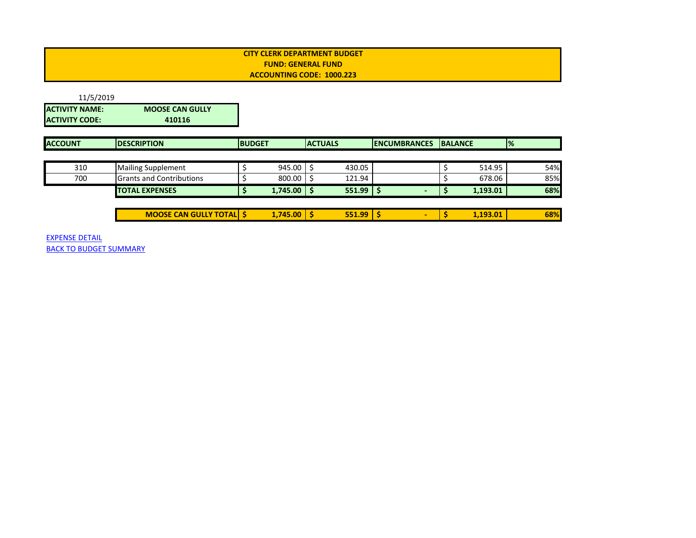<span id="page-19-0"></span>

| 11/5/2019       |                        |
|-----------------|------------------------|
| IACTIVITY NAME: | <b>MOOSE CAN GULLY</b> |
| IACTIVITY CODE: | 410116                 |

| <b>ACCOUNT</b> | <b>IDESCRIPTION</b>            | <b>IBUDGET</b> |          | <b>ACTUALS</b> |        | <b>IENCUMBRANCES</b> | <b>BALANCE</b> |          | $\frac{9}{6}$ |
|----------------|--------------------------------|----------------|----------|----------------|--------|----------------------|----------------|----------|---------------|
|                |                                |                |          |                |        |                      |                |          |               |
| 310            | <b>Mailing Supplement</b>      |                | 945.00   |                | 430.05 |                      |                | 514.95   | 54%           |
| 700            | Grants and Contributions       |                | 800.00   |                | 121.94 |                      |                | 678.06   | 85%           |
|                | <b>TOTAL EXPENSES</b>          |                | 1,745.00 |                | 551.99 |                      |                | 1,193.01 | 68%           |
|                |                                |                |          |                |        |                      |                |          |               |
|                | <b>MOOSE CAN GULLY TOTAL S</b> |                | 1,745.00 |                | 551.99 |                      |                | 1,193.01 | 68%           |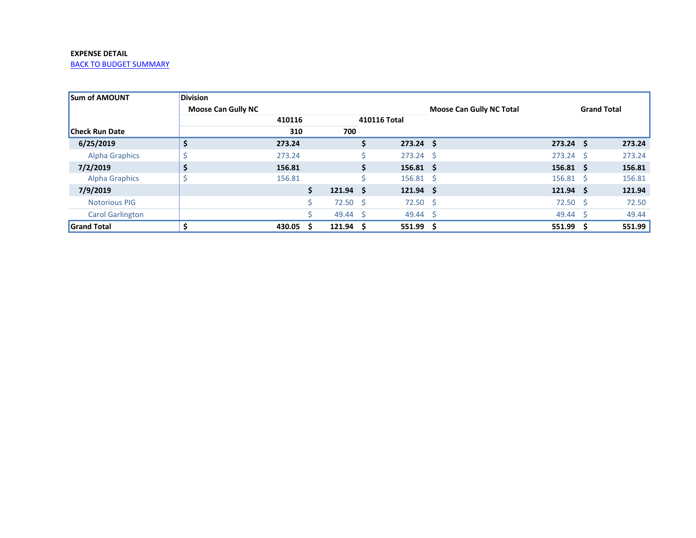<span id="page-20-0"></span>

| <b>Sum of AMOUNT</b>    | <b>Division</b>           |        |                        |    |                   |                                 |                      |                    |        |
|-------------------------|---------------------------|--------|------------------------|----|-------------------|---------------------------------|----------------------|--------------------|--------|
|                         | <b>Moose Can Gully NC</b> |        |                        |    |                   | <b>Moose Can Gully NC Total</b> |                      | <b>Grand Total</b> |        |
|                         |                           | 410116 |                        |    | 410116 Total      |                                 |                      |                    |        |
| <b>Check Run Date</b>   |                           | 310    | 700                    |    |                   |                                 |                      |                    |        |
| 6/25/2019               | \$                        | 273.24 |                        | S. | $273.24$ \$       |                                 | $273.24 \quad$ \$    |                    | 273.24 |
| <b>Alpha Graphics</b>   |                           | 273.24 |                        |    | $273.24 \text{ }$ |                                 | $273.24 \text{ }$    |                    | 273.24 |
| 7/2/2019                | S                         | 156.81 |                        | S. | $156.81 \quad $$  |                                 | $156.81 \quad $$     |                    | 156.81 |
| <b>Alpha Graphics</b>   |                           | 156.81 |                        |    | $156.81 \quad $$  |                                 | $156.81 \quad $$     |                    | 156.81 |
| 7/9/2019                |                           |        | \$<br>$121.94 \quad $$ |    | $121.94 \quad$ \$ |                                 | $121.94 \; \text{S}$ |                    | 121.94 |
| <b>Notorious PIG</b>    |                           |        | $72.50$ \$             |    | $72.50$ \$        |                                 | $72.50$ \$           |                    | 72.50  |
| <b>Carol Garlington</b> |                           |        | 49.44 \$               |    | 49.44             | -S                              | $49.44 \quad$ \$     |                    | 49.44  |
| Grand Total             |                           | 430.05 | $121.94 \quad$ \$      |    | 551.99            | - S                             | $551.99$ \$          |                    | 551.99 |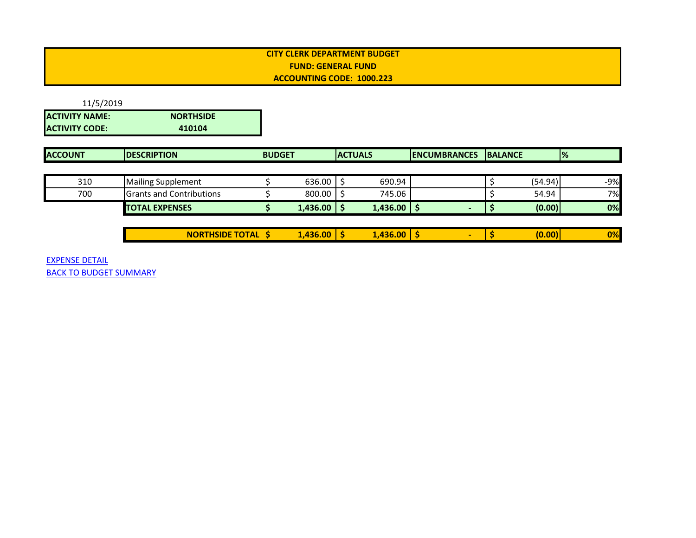<span id="page-21-0"></span>

| 11/5/2019             |                  |
|-----------------------|------------------|
| <b>ACTIVITY NAME:</b> | <b>NORTHSIDE</b> |
| <b>ACTIVITY CODE:</b> | 410104           |

| <b>ACCOUNT</b> | <b>IDESCRIPTION</b>             | <b>BUDGET</b> |          | <b>IACTUALS</b> |          | <b>IENCUMBRANCES</b> | <b>BALANCE</b> |         | $\frac{9}{6}$ |
|----------------|---------------------------------|---------------|----------|-----------------|----------|----------------------|----------------|---------|---------------|
|                |                                 |               |          |                 |          |                      |                |         |               |
| 310            | <b>Mailing Supplement</b>       |               | 636.00   |                 | 690.94   |                      |                | (54.94) | $-9%$         |
| 700            | <b>Grants and Contributions</b> |               | 800.00   |                 | 745.06   |                      |                | 54.94   | 7%            |
|                | <b>TOTAL EXPENSES</b>           |               | 1,436.00 |                 | 1,436.00 |                      |                | (0.00)  | 0%            |
|                |                                 |               |          |                 |          |                      |                |         |               |

| $\sim$<br>$-2 - 2$<br>А<br>MI<br>.<br>$\sim$ | $\sim$ $\sim$<br><b>ADAM</b><br>m<br>56<br>,,,,,<br>. | .nn<br>436 |  | 0 <sup>0</sup><br>70. |
|----------------------------------------------|-------------------------------------------------------|------------|--|-----------------------|
|                                              |                                                       |            |  |                       |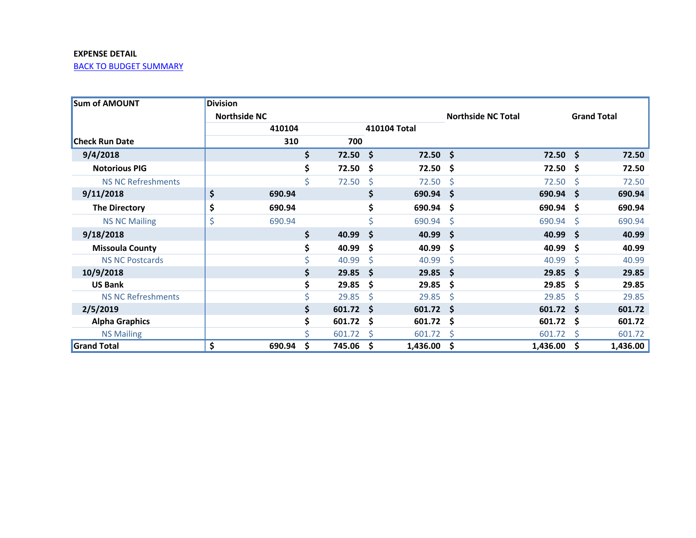<span id="page-22-0"></span>

| <b>Sum of AMOUNT</b>      | <b>Division</b> |                     |             |              |              |                           |            |          |                    |
|---------------------------|-----------------|---------------------|-------------|--------------|--------------|---------------------------|------------|----------|--------------------|
|                           |                 | <b>Northside NC</b> |             |              |              | <b>Northside NC Total</b> |            |          | <b>Grand Total</b> |
|                           |                 | 410104              |             |              | 410104 Total |                           |            |          |                    |
| <b>Check Run Date</b>     |                 | 310                 | 700         |              |              |                           |            |          |                    |
| 9/4/2018                  |                 | \$                  | 72.50%      |              | $72.50$ \$   |                           | $72.50$ \$ |          | 72.50              |
| <b>Notorious PIG</b>      |                 | \$                  | 72.50%      |              | 72.50        | -\$                       | 72.50      | \$       | 72.50              |
| <b>NS NC Refreshments</b> |                 | $\mathsf{\dot{S}}$  | 72.50       | \$           | 72.50        | \$                        | 72.50      | \$.      | 72.50              |
| 9/11/2018                 | \$              | 690.94              |             | \$           | 690.94       | Ŝ.                        | 690.94     | Ŝ.       | 690.94             |
| <b>The Directory</b>      | \$              | 690.94              |             | \$           | 690.94       | S                         | 690.94     | S        | 690.94             |
| <b>NS NC Mailing</b>      | \$              | 690.94              |             | Ś            | 690.94       | Ŝ                         | 690.94     | Ŝ.       | 690.94             |
| 9/18/2018                 |                 | \$                  | 40.99       | \$           | 40.99        | Ŝ.                        | 40.99      | Ŝ.       | 40.99              |
| <b>Missoula County</b>    |                 | \$                  | 40.99       | \$           | 40.99        | \$                        | 40.99      | \$       | 40.99              |
| <b>NS NC Postcards</b>    |                 | \$                  | 40.99       | Ŝ.           | 40.99        | Ś                         | 40.99      | Ŝ.       | 40.99              |
| 10/9/2018                 |                 | \$                  | $29.85$ \$  |              | 29.85        | Ŝ.                        | 29.85      | Ŝ.       | 29.85              |
| <b>US Bank</b>            |                 | \$                  | 29.85       | \$           | 29.85        | \$                        | 29.85      | S        | 29.85              |
| <b>NS NC Refreshments</b> |                 | \$                  | 29.85       | Ŝ            | 29.85        | Ŝ                         | 29.85      | Ś        | 29.85              |
| 2/5/2019                  |                 | \$                  | $601.72$ \$ |              | 601.72       | <b>S</b>                  | 601.72     | <b>S</b> | 601.72             |
| <b>Alpha Graphics</b>     |                 | \$                  | $601.72$ \$ |              | 601.72       | \$                        | 601.72     | S        | 601.72             |
| <b>NS Mailing</b>         |                 | Ś                   | 601.72      | <sub>S</sub> | 601.72       | S                         | 601.72     | S        | 601.72             |
| <b>Grand Total</b>        | \$              | \$<br>690.94        | 745.06      | \$           | 1,436.00     | \$                        | 1,436.00   | \$       | 1,436.00           |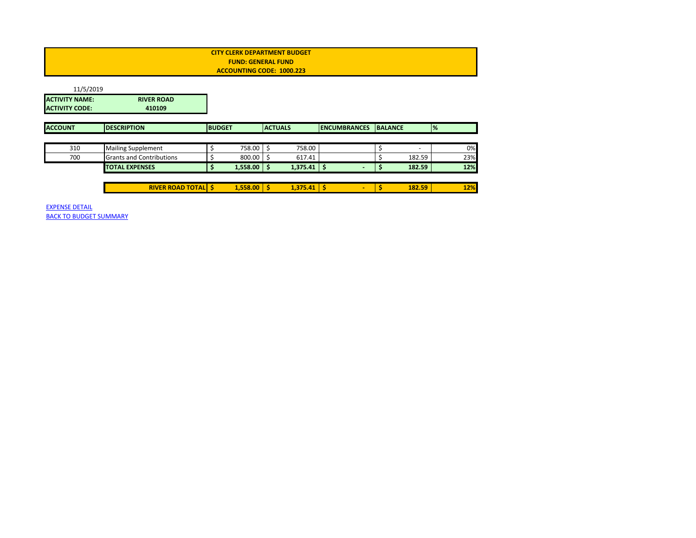<span id="page-23-0"></span>

| <b>CITY CLERK DEPARTMENT BUDGET</b> |  |
|-------------------------------------|--|
| <b>FUND: GENERAL FUND</b>           |  |
| ACCOUNTING CODE: 1000.223           |  |
|                                     |  |

| 11/5/2019             |                                 |               |                 |                |                 |                     |                |                          |               |     |
|-----------------------|---------------------------------|---------------|-----------------|----------------|-----------------|---------------------|----------------|--------------------------|---------------|-----|
| <b>ACTIVITY NAME:</b> | <b>RIVER ROAD</b>               |               |                 |                |                 |                     |                |                          |               |     |
| <b>ACTIVITY CODE:</b> | 410109                          |               |                 |                |                 |                     |                |                          |               |     |
| <b>ACCOUNT</b>        | <b>DESCRIPTION</b>              | <b>BUDGET</b> |                 | <b>ACTUALS</b> |                 | <b>ENCUMBRANCES</b> | <b>BALANCE</b> |                          | $\frac{9}{6}$ |     |
|                       |                                 |               |                 |                |                 |                     |                |                          |               |     |
| 310                   | <b>Mailing Supplement</b>       |               | 758.00          | \$             | 758.00          |                     |                | $\overline{\phantom{a}}$ |               | 0%  |
| 700                   | <b>Grants and Contributions</b> |               | 800.00          | \$.            | 617.41          |                     |                | 182.59                   |               | 23% |
|                       | <b>TOTAL EXPENSES</b>           |               | $1,558.00$ \$   |                | 1,375.41        | -S                  |                | 182.59                   |               | 12% |
|                       |                                 |               |                 |                |                 |                     |                |                          |               |     |
|                       | <b>RIVER ROAD TOTAL \$</b>      |               | $1,558.00$   \$ |                | $1,375.41$   \$ | $\sim$              |                | 182.59                   |               | 12% |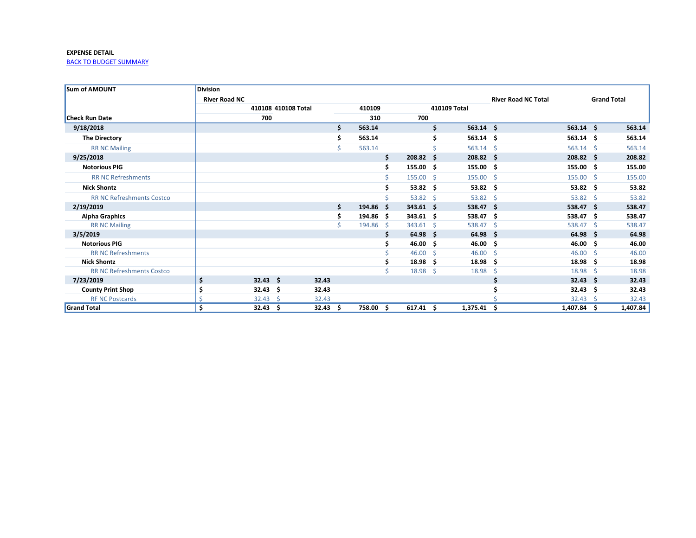<span id="page-24-0"></span>

| <b>Sum of AMOUNT</b>             | <b>Division</b>      |                     |       |     |        |    |                     |     |                     |                            |                    |     |                    |
|----------------------------------|----------------------|---------------------|-------|-----|--------|----|---------------------|-----|---------------------|----------------------------|--------------------|-----|--------------------|
|                                  | <b>River Road NC</b> |                     |       |     |        |    |                     |     |                     | <b>River Road NC Total</b> |                    |     | <b>Grand Total</b> |
|                                  |                      | 410108 410108 Total |       |     | 410109 |    |                     |     | 410109 Total        |                            |                    |     |                    |
| <b>Check Run Date</b>            |                      | 700                 |       |     | 310    |    | 700                 |     |                     |                            |                    |     |                    |
| 9/18/2018                        |                      |                     |       | \$  | 563.14 |    |                     | Ś.  | $563.14$ \$         |                            | $563.14$ \$        |     | 563.14             |
| <b>The Directory</b>             |                      |                     |       |     | 563.14 |    |                     |     | $563.14$ \$         |                            | $563.14$ \$        |     | 563.14             |
| <b>RR NC Mailing</b>             |                      |                     |       |     | 563.14 |    |                     |     | $563.14$ \$         |                            | $563.14$ \$        |     | 563.14             |
| 9/25/2018                        |                      |                     |       |     |        | \$ | $208.82 \quad $$    |     | $208.82 \quad $$    |                            | $208.82 \quad $$   |     | 208.82             |
| <b>Notorious PIG</b>             |                      |                     |       |     |        |    | $155.00\frac{1}{5}$ |     | $155.00\frac{1}{5}$ |                            | 155.00%            |     | 155.00             |
| <b>RR NC Refreshments</b>        |                      |                     |       |     |        |    | $155.00 \div$       |     | $155.00 \div$       |                            | $155.00$ \$        |     | 155.00             |
| <b>Nick Shontz</b>               |                      |                     |       |     |        |    | $53.82 \quad $$     |     | $53.82 \quad $$     |                            | $53.82 \quad $$    |     | 53.82              |
| <b>RR NC Refreshments Costco</b> |                      |                     |       |     |        |    | $53.82 \quad $$     |     | $53.82 \quad $$     |                            | $53.82 \quad $$    |     | 53.82              |
| 2/19/2019                        |                      |                     |       | Ŝ.  | 194.86 | -S | $343.61$ \$         |     | $538.47$ \$         |                            | 538.47 \$          |     | 538.47             |
| <b>Alpha Graphics</b>            |                      |                     |       |     | 194.86 | -S | $343.61$ \$         |     | $538.47$ \$         |                            | $538.47$ \$        |     | 538.47             |
| <b>RR NC Mailing</b>             |                      |                     |       |     | 194.86 | -Ś | 343.61              | - Ś | 538.47              | - S                        | 538.47 \$          |     | 538.47             |
| 3/5/2019                         |                      |                     |       |     |        |    | $64.98 \quad $$     |     | $64.98\frac{1}{2}$  |                            | $64.98\frac{1}{2}$ |     | 64.98              |
| <b>Notorious PIG</b>             |                      |                     |       |     |        |    | $46.00 \div$        |     | $46.00 \div$        |                            | 46.00%             |     | 46.00              |
| <b>RR NC Refreshments</b>        |                      |                     |       |     |        |    | $46.00 \quad $$     |     | 46.00               | S                          | $46.00 \quad $$    |     | 46.00              |
| <b>Nick Shontz</b>               |                      |                     |       |     |        |    | 18.98               | -\$ | 18.98               | Ŝ                          | 18.98              | - Ś | 18.98              |
| <b>RR NC Refreshments Costco</b> |                      |                     |       |     |        |    | $18.98 \quad $$     |     | 18.98               | S                          | 18.98 \$           |     | 18.98              |
| 7/23/2019                        | \$                   | $32.43 \quad $$     | 32.43 |     |        |    |                     |     |                     |                            | $32.43$ \$         |     | 32.43              |
| <b>County Print Shop</b>         |                      | 32.43<br>- \$       | 32.43 |     |        |    |                     |     |                     |                            | $32.43 \quad $$    |     | 32.43              |
| <b>RF NC Postcards</b>           |                      | 32.43<br>-Ś         | 32.43 |     |        |    |                     |     |                     |                            | $32.43 \quad$      |     | 32.43              |
| <b>Grand Total</b>               | \$                   | $32.43 \quad$ \$    | 32.43 | \$. | 758.00 | Ŝ. | $617.41 \quad $$    |     | 1,375.41            | Ŝ.                         | $1,407.84$ \$      |     | 1,407.84           |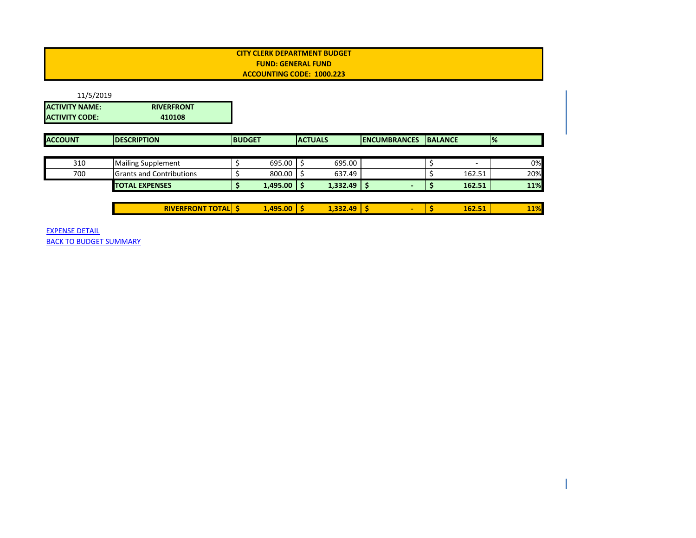<span id="page-25-0"></span>

| 11/5/2019                                      |                                 |               |                 |                |                     |                |        |               |     |
|------------------------------------------------|---------------------------------|---------------|-----------------|----------------|---------------------|----------------|--------|---------------|-----|
| <b>ACTIVITY NAME:</b><br><b>ACTIVITY CODE:</b> | <b>RIVERFRONT</b><br>410108     |               |                 |                |                     |                |        |               |     |
| <b>ACCOUNT</b>                                 | <b>DESCRIPTION</b>              | <b>BUDGET</b> |                 | <b>ACTUALS</b> | <b>ENCUMBRANCES</b> | <b>BALANCE</b> |        | $\frac{9}{6}$ |     |
|                                                |                                 |               |                 |                |                     |                |        |               |     |
| 310                                            | <b>Mailing Supplement</b>       |               | $695.00$ \$     | 695.00         |                     |                |        |               | 0%  |
| 700                                            | <b>Grants and Contributions</b> |               | $800.00$ \$     | 637.49         |                     |                | 162.51 |               | 20% |
|                                                | <b>TOTAL EXPENSES</b>           |               | $1,495.00$   \$ | $1,332.49$ \$  |                     |                | 162.51 |               | 11% |
|                                                |                                 |               |                 |                |                     |                |        |               |     |
|                                                | <b>RIVERFRONT TOTAL   \$</b>    |               | $1,495.00$   \$ | $1,332.49$ \$  | ٠                   |                | 162.51 |               | 11% |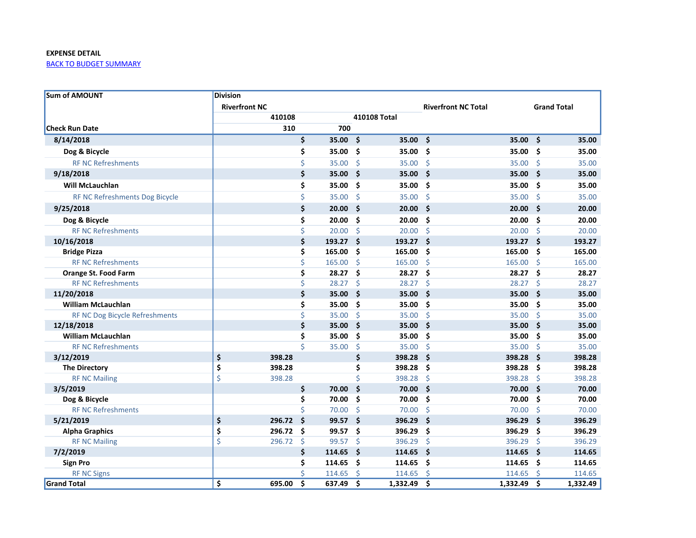<span id="page-26-0"></span>

| <b>Sum of AMOUNT</b>           | <b>Division</b>      |        |                         |        |                     |              |                            |          |     |                    |
|--------------------------------|----------------------|--------|-------------------------|--------|---------------------|--------------|----------------------------|----------|-----|--------------------|
|                                | <b>Riverfront NC</b> |        |                         |        |                     |              | <b>Riverfront NC Total</b> |          |     | <b>Grand Total</b> |
|                                |                      | 410108 |                         |        |                     | 410108 Total |                            |          |     |                    |
| <b>Check Run Date</b>          |                      | 310    |                         | 700    |                     |              |                            |          |     |                    |
| 8/14/2018                      |                      |        | \$                      | 35.00  | Ŝ.                  | 35.00        | Ś.                         | 35.00    | Ŝ.  | 35.00              |
| Dog & Bicycle                  |                      |        | \$                      | 35.00  | -\$                 | 35.00        | Ś                          | 35.00    | Ś   | 35.00              |
| <b>RF NC Refreshments</b>      |                      |        | \$                      | 35.00  | $\zeta$             | 35.00        | $\zeta$                    | 35.00    | \$  | 35.00              |
| 9/18/2018                      |                      |        | \$                      | 35.00  | Ŝ.                  | 35.00        | \$                         | 35.00    | \$  | 35.00              |
| <b>Will McLauchlan</b>         |                      |        | \$                      | 35.00  | -\$                 | 35.00        | \$                         | 35.00    | \$  | 35.00              |
| RF NC Refreshments Dog Bicycle |                      |        | \$                      | 35.00  | <b>S</b>            | 35.00        | $\zeta$                    | 35.00    | \$  | 35.00              |
| 9/25/2018                      |                      |        | \$                      | 20.00  | \$                  | 20.00        | \$                         | 20.00    | \$  | 20.00              |
| Dog & Bicycle                  |                      |        | \$                      | 20.00  | Ŝ.                  | 20.00        | Ś                          | 20.00    | Ś   | 20.00              |
| <b>RF NC Refreshments</b>      |                      |        | \$                      | 20.00  | -Ś                  | 20.00        | Ś                          | 20.00    | Ś.  | 20.00              |
| 10/16/2018                     |                      |        | \$                      | 193.27 | - \$                | 193.27       | Ś                          | 193.27   | Ŝ.  | 193.27             |
| <b>Bridge Pizza</b>            |                      |        | \$                      | 165.00 | - \$                | 165.00       | .\$                        | 165.00   | .\$ | 165.00             |
| <b>RF NC Refreshments</b>      |                      |        | \$                      | 165.00 | -Ś                  | 165.00       | <sup>5</sup>               | 165.00   | Ś   | 165.00             |
| <b>Orange St. Food Farm</b>    |                      |        | \$                      | 28.27  | - \$                | 28.27        | -\$                        | 28.27    | \$  | 28.27              |
| <b>RF NC Refreshments</b>      |                      |        | \$                      | 28.27  | -Ś                  | 28.27        | $\zeta$                    | 28.27    | \$  | 28.27              |
| 11/20/2018                     |                      |        | \$                      | 35.00  | Š.                  | 35.00        | Ś                          | 35.00    | Ś   | 35.00              |
| <b>William McLauchlan</b>      |                      |        | \$                      | 35.00  | \$                  | 35.00        | \$                         | 35.00    | \$  | 35.00              |
| RF NC Dog Bicycle Refreshments |                      |        | \$                      | 35.00  | '\$                 | 35.00        | -\$                        | 35.00    | \$  | 35.00              |
| 12/18/2018                     |                      |        | \$                      | 35.00  | Ś                   | 35.00        | Ś                          | 35.00    | Ś   | 35.00              |
| <b>William McLauchlan</b>      |                      |        | \$                      | 35.00  | Ś                   | 35.00        | Ś                          | 35.00    | Ś   | 35.00              |
| <b>RF NC Refreshments</b>      |                      |        | $\overline{\mathsf{S}}$ | 35.00  | $\ddot{\varsigma}$  | 35.00        | $\zeta$                    | 35.00    | \$  | 35.00              |
| 3/12/2019                      | \$                   | 398.28 |                         |        | \$                  | 398.28       | Ś                          | 398.28   | Ś   | 398.28             |
| <b>The Directory</b>           | \$                   | 398.28 |                         |        | \$                  | 398.28       | Ś                          | 398.28   | Ś   | 398.28             |
| <b>RF NC Mailing</b>           | \$                   | 398.28 |                         |        | \$                  | 398.28       | $\zeta$                    | 398.28   | \$  | 398.28             |
| 3/5/2019                       |                      |        | \$                      | 70.00  | \$                  | 70.00        | \$                         | 70.00    | \$  | 70.00              |
| Dog & Bicycle                  |                      |        | \$                      | 70.00  | \$                  | 70.00        | Ś                          | 70.00    | \$  | 70.00              |
| <b>RF NC Refreshments</b>      |                      |        | Ś                       | 70.00  | $\zeta$             | 70.00        | -Ś                         | 70.00    | Ś.  | 70.00              |
| 5/21/2019                      | \$                   | 296.72 | $\ddot{\mathsf{s}}$     | 99.57  | Ŝ.                  | 396.29       | \$                         | 396.29   | \$  | 396.29             |
| <b>Alpha Graphics</b>          | \$                   | 296.72 | Ŝ.                      | 99.57  | \$                  | 396.29       | \$                         | 396.29   | \$  | 396.29             |
| <b>RF NC Mailing</b>           | \$                   | 296.72 | Ś.                      | 99.57  | $\zeta$             | 396.29       | \$                         | 396.29   | \$  | 396.29             |
| 7/2/2019                       |                      |        | \$                      | 114.65 | $\ddot{\bm{\zeta}}$ | 114.65       | $\ddot{\bm{\zeta}}$        | 114.65   | \$  | 114.65             |
| <b>Sign Pro</b>                |                      |        | \$                      | 114.65 | \$                  | 114.65       | \$                         | 114.65   | \$  | 114.65             |
| <b>RF NC Signs</b>             |                      |        | Ś                       | 114.65 | Ś.                  | 114.65       | Ŝ.                         | 114.65   | Ś.  | 114.65             |
| <b>Grand Total</b>             | Ś                    | 695.00 | Ś.                      | 637.49 | Ŝ.                  | 1.332.49     | Ŝ.                         | 1.332.49 | Ŝ.  | 1,332.49           |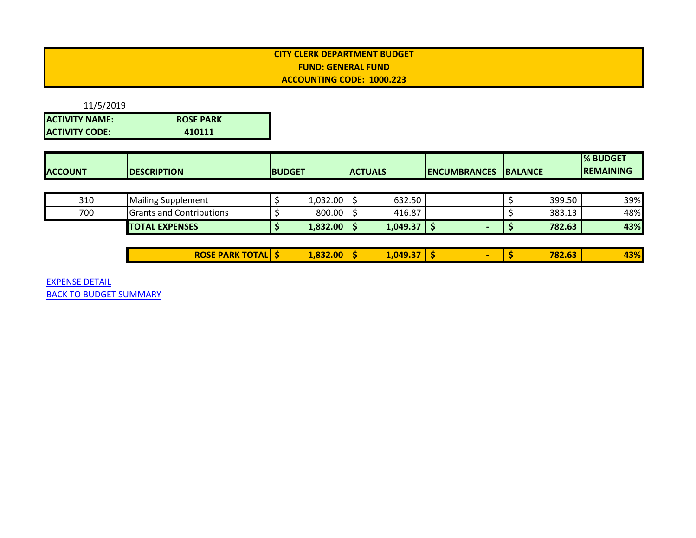<span id="page-27-0"></span>11/5/2019 **ACTIVITY NAME: ROSE PARK ACTIVITY CODE: 410111**

| <b>REMAINING</b><br><b>ACCOUNT</b><br><b>ACTUALS</b><br><b>BUDGET</b><br><b>BALANCE</b><br><b>DESCRIPTION</b><br><b>IENCUMBRANCES</b> |  |  |  | <b>I% BUDGET</b> |
|---------------------------------------------------------------------------------------------------------------------------------------|--|--|--|------------------|
|                                                                                                                                       |  |  |  |                  |

| 310 | <b>Mailing Supplement</b>       | 1,032.00 | 632.50   |  | 399.50 | 39% |
|-----|---------------------------------|----------|----------|--|--------|-----|
| 700 | <b>Grants and Contributions</b> | 800.00   | 416.87   |  | 383.13 | 48% |
|     | <b>TOTAL EXPENSES</b>           | 1,832.00 | 1,049.37 |  | 782.63 | 43% |

|                          |        | $-1$<br>-- |  |        |            |
|--------------------------|--------|------------|--|--------|------------|
| TALI'<br>RO.<br>AKK<br>ы | 832.00 | L.049.3    |  | 782.63 | 13%<br>-47 |
| . .                      | $\sim$ |            |  |        |            |
|                          |        |            |  |        |            |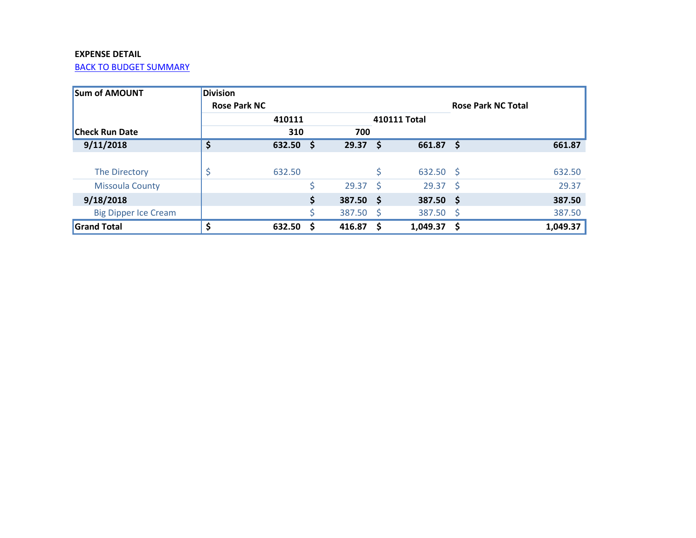<span id="page-28-0"></span>

| <b>Sum of AMOUNT</b>        | <b>Division</b>     |        |      |        |      |                  |                           |          |
|-----------------------------|---------------------|--------|------|--------|------|------------------|---------------------------|----------|
|                             | <b>Rose Park NC</b> |        |      |        |      |                  | <b>Rose Park NC Total</b> |          |
|                             |                     | 410111 |      |        |      | 410111 Total     |                           |          |
| <b>Check Run Date</b>       |                     | 310    |      | 700    |      |                  |                           |          |
| 9/11/2018                   | \$                  | 632.50 | - \$ | 29.37  | - \$ | 661.87           | - \$                      | 661.87   |
|                             |                     |        |      |        |      |                  |                           |          |
| The Directory               |                     | 632.50 |      |        |      | $632.50$ \$      |                           | 632.50   |
| <b>Missoula County</b>      |                     |        |      | 29.37  | - S  | $29.37 \quad$ \$ |                           | 29.37    |
| 9/18/2018                   |                     |        | \$   | 387.50 | ్స   | $387.50$ \$      |                           | 387.50   |
| <b>Big Dipper Ice Cream</b> |                     |        |      | 387.50 | - \$ | 387.50 \$        |                           | 387.50   |
| <b>Grand Total</b>          |                     | 632.50 | S    | 416.87 | -S   | 1,049.37         | - S                       | 1,049.37 |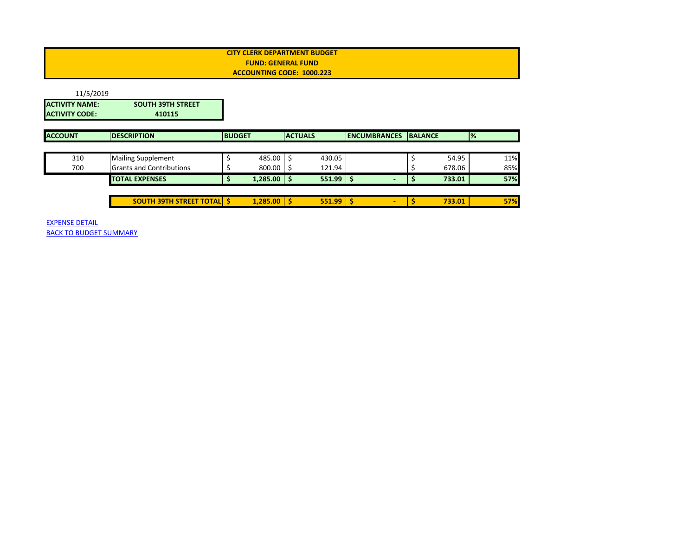<span id="page-29-0"></span>

| 11/5/2019             |                                  |               |               |                |               |                     |                |        |               |     |
|-----------------------|----------------------------------|---------------|---------------|----------------|---------------|---------------------|----------------|--------|---------------|-----|
| <b>ACTIVITY NAME:</b> | <b>SOUTH 39TH STREET</b>         |               |               |                |               |                     |                |        |               |     |
| <b>ACTIVITY CODE:</b> | 410115                           |               |               |                |               |                     |                |        |               |     |
|                       |                                  |               |               |                |               |                     |                |        |               |     |
| <b>ACCOUNT</b>        | <b>DESCRIPTION</b>               | <b>BUDGET</b> |               | <b>ACTUALS</b> |               | <b>ENCUMBRANCES</b> | <b>BALANCE</b> |        | $\frac{9}{6}$ |     |
|                       |                                  |               |               |                |               |                     |                |        |               |     |
| 310                   | <b>Mailing Supplement</b>        |               | 485.00        |                | 430.05        |                     |                | 54.95  |               | 11% |
| 700                   | <b>Grants and Contributions</b>  |               | 800.00        |                | 121.94        |                     |                | 678.06 |               | 85% |
|                       | <b>TOTAL EXPENSES</b>            |               | $1,285.00$ \$ |                | $551.99$ \$   |                     | Ş              | 733.01 |               | 57% |
|                       |                                  |               |               |                |               |                     |                |        |               |     |
|                       | <b>SOUTH 39TH STREET TOTAL S</b> |               | 1,285.00      | -S             | $551.99$   \$ | ۰                   |                | 733.01 |               | 57% |
|                       |                                  |               |               |                |               |                     |                |        |               |     |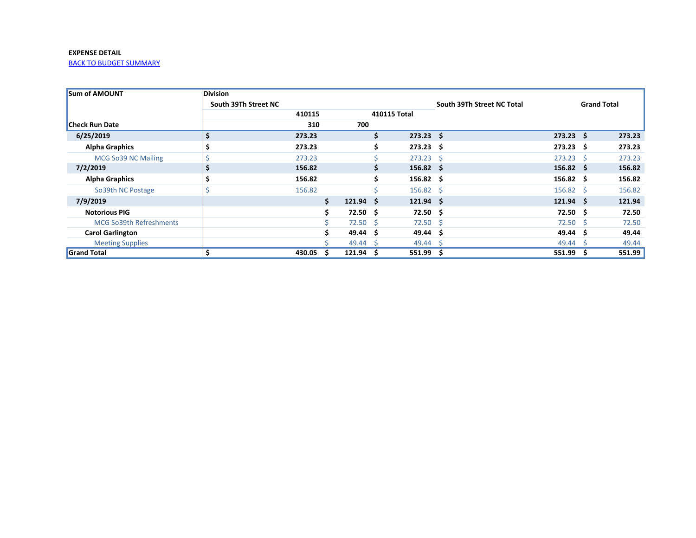<span id="page-30-0"></span>

| <b>Sum of AMOUNT</b>           | <b>Division</b>      |        |    |                   |     |                   |                            |                   |                    |        |
|--------------------------------|----------------------|--------|----|-------------------|-----|-------------------|----------------------------|-------------------|--------------------|--------|
|                                | South 39Th Street NC |        |    |                   |     |                   | South 39Th Street NC Total |                   | <b>Grand Total</b> |        |
|                                |                      | 410115 |    |                   |     | 410115 Total      |                            |                   |                    |        |
| <b>Check Run Date</b>          |                      | 310    |    | 700               |     |                   |                            |                   |                    |        |
| 6/25/2019                      | \$                   | 273.23 |    |                   | \$  | $273.23$ \$       |                            | $273.23$ \$       |                    | 273.23 |
| <b>Alpha Graphics</b>          | \$                   | 273.23 |    |                   | \$. | $273.23 \quad$ \$ |                            | $273.23 \quad$ \$ |                    | 273.23 |
| MCG So39 NC Mailing            | \$                   | 273.23 |    |                   |     | $273.23$ \$       |                            | $273.23 \quad$ \$ |                    | 273.23 |
| 7/2/2019                       | \$                   | 156.82 |    |                   | Ś.  | $156.82 \quad$ \$ |                            | $156.82 \quad$ \$ |                    | 156.82 |
| <b>Alpha Graphics</b>          | \$                   | 156.82 |    |                   | S.  | $156.82 \quad$ \$ |                            | $156.82 \quad $$  |                    | 156.82 |
| So39th NC Postage              | \$                   | 156.82 |    |                   |     | $156.82 \quad$    |                            | $156.82 \quad$ \$ |                    | 156.82 |
| 7/9/2019                       |                      |        | Ś. | $121.94 \quad$ \$ |     | $121.94 \quad$ \$ |                            | $121.94 \quad $$  |                    | 121.94 |
| <b>Notorious PIG</b>           |                      |        |    | $72.50 \pm 5$     |     | $72.50\quad$ \$   |                            | $72.50 \pm 5$     |                    | 72.50  |
| <b>MCG So39th Refreshments</b> |                      |        |    | $72.50 \pm 5$     |     | $72.50$ \$        |                            | 72.50             | -S                 | 72.50  |
| <b>Carol Garlington</b>        |                      |        |    | 49.44 \$          |     | 49.44 \$          |                            | 49.44             | -S                 | 49.44  |
| <b>Meeting Supplies</b>        |                      |        |    | 49.44 \$          |     | $49.44 \quad$ \$  |                            | 49.44             | -S                 | 49.44  |
| <b>Grand Total</b>             | \$                   | 430.05 |    | 121.94            | S   | $551.99$ \$       |                            | 551.99            | s                  | 551.99 |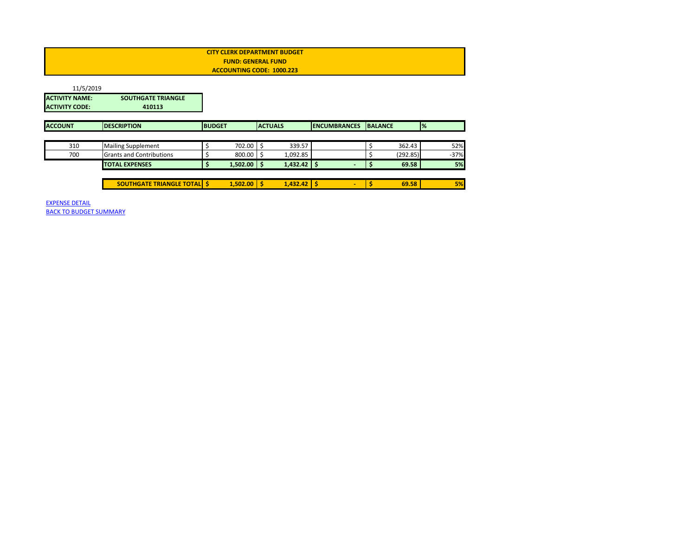| <b>CITY CLERK DEPARTMENT BUDGET</b> |  |
|-------------------------------------|--|
| <b>FUND: GENERAL FUND</b>           |  |
| ACCOUNTING CODE: 1000.223           |  |
|                                     |  |

<span id="page-31-0"></span>

| 11/5/2019                                      |                                     |               |          |                |                     |                |          |               |        |
|------------------------------------------------|-------------------------------------|---------------|----------|----------------|---------------------|----------------|----------|---------------|--------|
| <b>ACTIVITY NAME:</b><br><b>ACTIVITY CODE:</b> | <b>SOUTHGATE TRIANGLE</b><br>410113 |               |          |                |                     |                |          |               |        |
| <b>ACCOUNT</b>                                 | <b>DESCRIPTION</b>                  | <b>BUDGET</b> |          | <b>ACTUALS</b> | <b>ENCUMBRANCES</b> | <b>BALANCE</b> |          | $\frac{9}{6}$ |        |
|                                                |                                     |               |          |                |                     |                |          |               |        |
| 310                                            | <b>Mailing Supplement</b>           |               | 702.00   | 339.57         |                     |                | 362.43   |               | 52%    |
| 700                                            | <b>Grants and Contributions</b>     |               | 800.00   | 1,092.85       |                     |                | (292.85) |               | $-37%$ |
|                                                | <b>TOTAL EXPENSES</b>               |               | 1,502.00 | $1,432.42$ \$  |                     |                | 69.58    |               | 5%     |
|                                                |                                     |               |          |                |                     |                |          |               |        |
|                                                | <b>SOUTHGATE TRIANGLE TOTAL S</b>   |               | 1.502.00 | $1,432.42$ \$  | $\blacksquare$      |                | 69.58    |               | 5%     |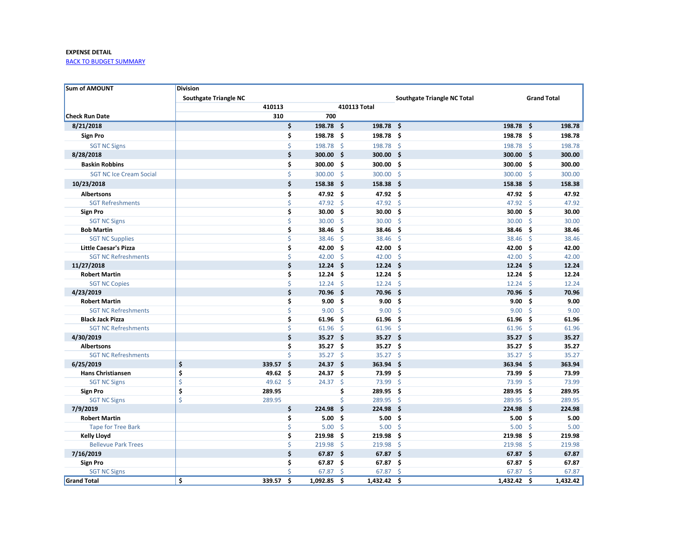<span id="page-32-0"></span>

| <b>Sum of AMOUNT</b>                            | <b>Division</b>              |          |                    |                           |                     |                    |                                    |                   |                    |                |
|-------------------------------------------------|------------------------------|----------|--------------------|---------------------------|---------------------|--------------------|------------------------------------|-------------------|--------------------|----------------|
|                                                 | <b>Southgate Triangle NC</b> |          |                    |                           |                     |                    | <b>Southgate Triangle NC Total</b> |                   | <b>Grand Total</b> |                |
|                                                 |                              | 410113   |                    |                           |                     | 410113 Total       |                                    |                   |                    |                |
| <b>Check Run Date</b>                           |                              | 310      |                    | 700                       |                     |                    |                                    |                   |                    |                |
| 8/21/2018                                       |                              |          | \$                 | 198.78 \$                 |                     | 198.78 \$          | 198.78 \$                          |                   |                    | 198.78         |
| <b>Sign Pro</b>                                 |                              |          | \$                 | 198.78 \$                 |                     | 198.78             | 198.78 \$<br>.\$                   |                   |                    | 198.78         |
| <b>SGT NC Signs</b>                             |                              |          | \$                 | 198.78 \$                 |                     | 198.78 \$          | 198.78 \$                          |                   |                    | 198.78         |
| 8/28/2018                                       |                              |          | \$                 | $300.00$ \$               |                     | 300.00             | - \$<br>$300.00$ \$                |                   |                    | 300.00         |
| <b>Baskin Robbins</b>                           |                              |          | \$                 | 300.00 \$                 |                     | 300.00             | - \$<br>300.00 \$                  |                   |                    | 300.00         |
| <b>SGT NC Ice Cream Social</b>                  |                              |          | \$                 | 300.00 \$                 |                     | 300.00             | Ŝ.<br>300.00 \$                    |                   |                    | 300.00         |
| 10/23/2018                                      |                              |          | \$                 | $158.38\quad$             |                     | 158.38 \$          | 158.38 \$                          |                   |                    | 158.38         |
| <b>Albertsons</b>                               |                              |          | \$                 | 47.92 \$                  |                     | 47.92 \$           | 47.92 \$                           |                   |                    | 47.92          |
| <b>SGT Refreshments</b>                         |                              |          | \$                 | 47.92 \$                  |                     | 47.92              | Ŝ.<br>47.92 \$                     |                   |                    | 47.92          |
| <b>Sign Pro</b>                                 |                              |          | \$                 | 30.00%                    |                     | 30.00              | \$<br>30.00 <sub>5</sub>           |                   |                    | 30.00          |
| <b>SGT NC Signs</b>                             |                              |          | \$                 | 30.00                     | -Ś                  | 30.00              | Ŝ<br>$30.00$ \$                    |                   |                    | 30.00          |
| <b>Bob Martin</b>                               |                              |          | \$                 | 38.46 \$                  |                     | 38.46              | Ŝ.<br>38.46 \$                     |                   |                    | 38.46          |
| <b>SGT NC Supplies</b>                          |                              |          | \$                 | 38.46                     | $\ddot{\mathsf{S}}$ | 38.46              | $\dot{\mathsf{S}}$<br>38.46 \$     |                   |                    | 38.46          |
| <b>Little Caesar's Pizza</b>                    |                              |          | \$                 | 42.00 \$                  |                     | 42.00              | \$.<br>42.00 <sub>5</sub>          |                   |                    | 42.00          |
| <b>SGT NC Refreshments</b>                      |                              |          | \$                 | 42.00 \$                  |                     | 42.00              | Ŝ.<br>$42.00$ \$                   |                   |                    | 42.00          |
| 11/27/2018                                      |                              |          | \$                 | $12.24$ \$                |                     | 12.24              | Ś.<br>$12.24$ \$                   |                   |                    | 12.24          |
| <b>Robert Martin</b>                            |                              |          | \$                 | 12.24 <sub>5</sub>        |                     | $12.24 \quad$ \$   | 12.24 <sub>5</sub>                 |                   |                    | 12.24          |
| <b>SGT NC Copies</b>                            |                              |          | \$                 | $12.24 \div$              |                     | 12.24              | $\zeta$<br>$12.24 \quad$ \$        |                   |                    | 12.24          |
| 4/23/2019                                       |                              |          | \$                 | 70.96 \$                  |                     | 70.96              | 70.96 \$<br>Ŝ.                     |                   |                    | 70.96          |
| <b>Robert Martin</b>                            |                              |          | \$                 | 9.00%                     |                     | 9.00               | 9.00%<br>\$.                       |                   |                    | 9.00           |
| <b>SGT NC Refreshments</b>                      |                              |          | \$                 | $9.00 \quad $$            |                     | 9.00               | Ŝ                                  | 9.00%             |                    | 9.00           |
| <b>Black Jack Pizza</b>                         |                              |          | \$                 | 61.96 <sub>5</sub>        |                     | 61.96              | .\$<br>$61.96$ \$                  |                   |                    | 61.96          |
| <b>SGT NC Refreshments</b>                      |                              |          | Ś.                 | $61.96$ \$                |                     | 61.96              | Ŝ.<br>$61.96$ \$                   |                   |                    | 61.96          |
| 4/30/2019                                       |                              |          | \$                 | $35.27$ \$                |                     | 35.27 <sub>5</sub> | $35.27$ \$                         |                   |                    | 35.27          |
| <b>Albertsons</b>                               |                              |          | \$                 | 35.27S                    |                     | 35.27              | \$<br>$35.27$ \$                   |                   |                    | 35.27          |
| <b>SGT NC Refreshments</b>                      |                              |          | Ś.                 | $35.27$ \$                |                     | 35.27              | Ŝ.<br>$35.27$ \$                   |                   |                    | 35.27          |
| 6/25/2019                                       | \$                           | 339.57   | $\mathsf{\hat{S}}$ | 24.37S                    |                     | 363.94             | \$<br>363.94 \$                    |                   |                    | 363.94         |
| <b>Hans Christiansen</b>                        | \$                           | 49.62    | - \$               | 24.37S                    |                     | 73.99              | \$<br>73.99 \$                     |                   |                    | 73.99          |
| <b>SGT NC Signs</b>                             | \$                           | 49.62 \$ |                    | 24.37                     | \$                  | 73.99              | Ŝ<br>73.99                         |                   | -Ś                 | 73.99          |
| <b>Sign Pro</b>                                 | \$                           | 289.95   |                    |                           | \$                  | 289.95             | Š.<br>289.95 \$                    |                   |                    | 289.95         |
| <b>SGT NC Signs</b>                             | \$                           | 289.95   |                    |                           | \$                  | 289.95             | \$<br>289.95 \$                    |                   |                    | 289.95         |
| 7/9/2019                                        |                              |          | \$                 | 224.98                    | \$.                 | 224.98             | \$<br>224.98 \$                    |                   |                    | 224.98<br>5.00 |
| <b>Robert Martin</b>                            |                              |          | \$<br>\$           | 5.00 <sub>5</sub><br>5.00 | -\$                 | 5.00<br>5.00       | Ŝ.<br>5.00 <sub>5</sub><br>Ŝ.      | 5.00 <sub>5</sub> |                    | 5.00           |
| <b>Tape for Tree Bark</b><br><b>Kelly Lloyd</b> |                              |          | \$                 | 219.98                    | \$.                 | 219.98             | \$<br>219.98                       |                   | - \$               | 219.98         |
| <b>Bellevue Park Trees</b>                      |                              |          | \$                 | $219.98$ \$               |                     | 219.98             | Ŝ.<br>$219.98$ \$                  |                   |                    | 219.98         |
| 7/16/2019                                       |                              |          | \$                 | $67.87$ \$                |                     | 67.87              | \$<br>$67.87$ \$                   |                   |                    | 67.87          |
| <b>Sign Pro</b>                                 |                              |          | \$                 | 67.87 \$                  |                     | 67.87              | .\$<br>67.87 \$                    |                   |                    | 67.87          |
| <b>SGT NC Signs</b>                             |                              |          | \$                 | 67.87                     | -\$                 | 67.87              | \$<br>67.87S                       |                   |                    | 67.87          |
| <b>Grand Total</b>                              | Ś                            | 339.57   | Ś                  | $1,092.85$ \$             |                     | 1.432.42           | Ś.<br>$1.432.42 \quad S$           |                   |                    | 1.432.42       |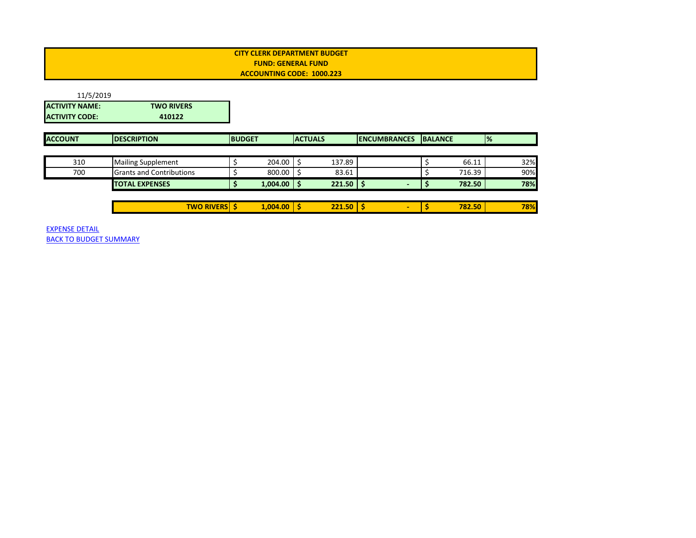<span id="page-33-0"></span>

| 11/5/2019             |                                 |               |                 |                |               |                     |                |        |               |     |
|-----------------------|---------------------------------|---------------|-----------------|----------------|---------------|---------------------|----------------|--------|---------------|-----|
| <b>ACTIVITY NAME:</b> | <b>TWO RIVERS</b>               |               |                 |                |               |                     |                |        |               |     |
| <b>ACTIVITY CODE:</b> | 410122                          |               |                 |                |               |                     |                |        |               |     |
|                       |                                 |               |                 |                |               |                     |                |        |               |     |
| <b>ACCOUNT</b>        | <b>DESCRIPTION</b>              | <b>BUDGET</b> |                 | <b>ACTUALS</b> |               | <b>ENCUMBRANCES</b> | <b>BALANCE</b> |        | $\frac{9}{6}$ |     |
|                       |                                 |               |                 |                |               |                     |                |        |               |     |
| 310                   | <b>Mailing Supplement</b>       |               | 204.00          |                | 137.89        |                     |                | 66.11  |               | 32% |
| 700                   | <b>Grants and Contributions</b> |               | 800.00          |                | 83.61         |                     |                | 716.39 |               | 90% |
|                       | <b>TOTAL EXPENSES</b>           |               | $1,004.00$   \$ |                | $221.50$ \$   |                     |                | 782.50 |               | 78% |
|                       |                                 |               |                 |                |               |                     |                |        |               |     |
|                       | <b>TWO RIVERS \$</b>            |               | $1,004.00$   \$ |                | $221.50$   \$ | ٠                   |                | 782.50 |               | 78% |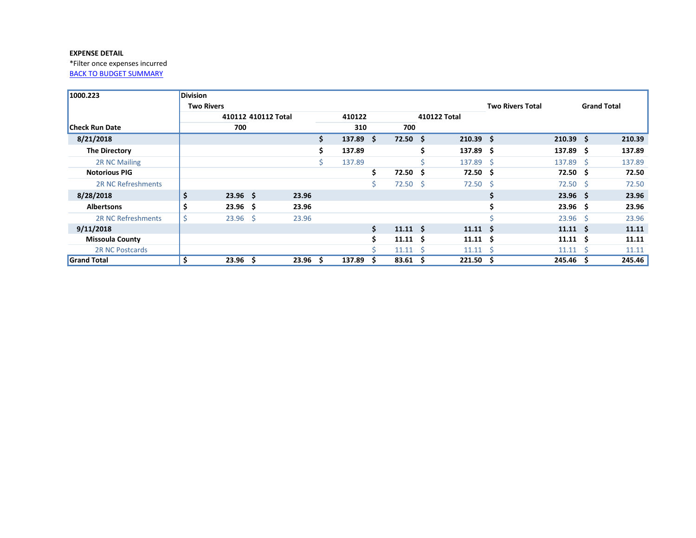<span id="page-34-0"></span>\*Filter once expenses incurred [BACK TO BUDGET SUMMARY](#page-0-0)

| 1000.223                  | <b>Division</b>   |                     |                    |     |        |     |                  |      |                 |                         |                    |                    |        |
|---------------------------|-------------------|---------------------|--------------------|-----|--------|-----|------------------|------|-----------------|-------------------------|--------------------|--------------------|--------|
|                           | <b>Two Rivers</b> |                     |                    |     |        |     |                  |      |                 | <b>Two Rivers Total</b> |                    | <b>Grand Total</b> |        |
|                           |                   | 410112 410112 Total |                    |     | 410122 |     |                  |      | 410122 Total    |                         |                    |                    |        |
| <b>Check Run Date</b>     |                   | 700                 |                    |     | 310    |     | 700              |      |                 |                         |                    |                    |        |
| 8/21/2018                 |                   |                     |                    | \$. | 137.89 | S.  | $72.50 \pm 5$    |      | $210.39$ \$     |                         | $210.39$ \$        |                    | 210.39 |
| The Directory             |                   |                     |                    | \$  | 137.89 |     |                  | Ŝ    | 137.89 \$       |                         | 137.89 \$          |                    | 137.89 |
| 2R NC Mailing             |                   |                     |                    |     | 137.89 |     |                  |      | 137.89 \$       |                         | 137.89 \$          |                    | 137.89 |
| <b>Notorious PIG</b>      |                   |                     |                    |     |        | \$  | 72.50            | - S  | $72.50 \pm 5$   |                         | $72.50 \pm 5$      |                    | 72.50  |
| <b>2R NC Refreshments</b> |                   |                     |                    |     |        | \$. | 72.50            | - \$ | $72.50$ \$      |                         | $72.50$ \$         |                    | 72.50  |
| 8/28/2018                 | \$                | $23.96$ \$          | 23.96              |     |        |     |                  |      |                 | \$                      | 23.96 <sub>5</sub> |                    | 23.96  |
| <b>Albertsons</b>         |                   | 23.96 <sub>5</sub>  | 23.96              |     |        |     |                  |      |                 | Ś.                      | 23.96 <sub>5</sub> |                    | 23.96  |
| 2R NC Refreshments        | \$                | $23.96$ \$          | 23.96              |     |        |     |                  |      |                 |                         | $23.96$ \$         |                    | 23.96  |
| 9/11/2018                 |                   |                     |                    |     |        | \$  | $11.11 \quad$ \$ |      | $11.11 \quad$   |                         | $11.11 \quad $$    |                    | 11.11  |
| <b>Missoula County</b>    |                   |                     |                    |     |        | Š.  | $11.11 \quad$ \$ |      | $11.11 \quad $$ |                         | $11.11 \quad $$    |                    | 11.11  |
| <b>2R NC Postcards</b>    |                   |                     |                    |     |        |     | $11.11 \quad$    |      | $11.11 \pm 5$   |                         | $11.11 \quad$      |                    | 11.11  |
| <b>Grand Total</b>        |                   | 23.96 <sub>5</sub>  | 23.96 <sub>5</sub> |     | 137.89 | \$  | 83.61            | - \$ | 221.50          | - \$                    | 245.46 \$          |                    | 245.46 |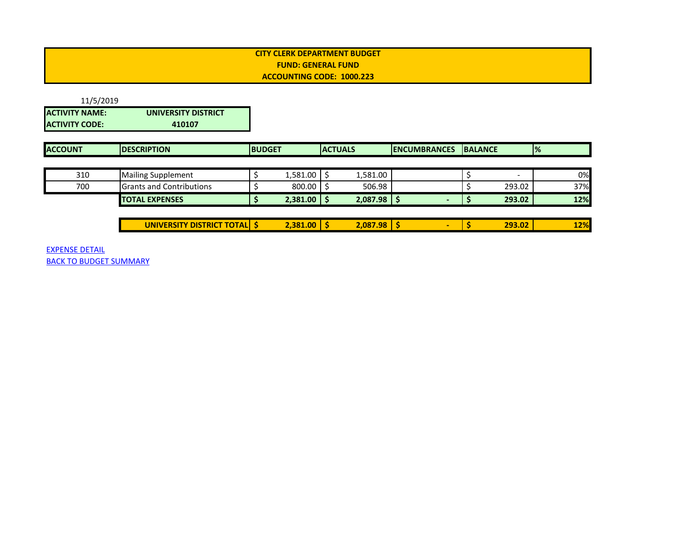# <span id="page-35-0"></span>11/5/2019 **ACTIVITY NAME: UNIVERSITY DISTRICT ACTIVITY CODE:**

| <b>ACCOUNT</b> | <b>IDESCRIPTION</b>             | <b>IBUDGET</b> |          | <b>ACTUALS</b> |          | <b>IENCUMBRANCES</b> | <b>IBALANCE</b> |                          | $\frac{1}{2}$ |
|----------------|---------------------------------|----------------|----------|----------------|----------|----------------------|-----------------|--------------------------|---------------|
|                |                                 |                |          |                |          |                      |                 |                          |               |
| 310            | <b>Mailing Supplement</b>       |                | 1,581.00 |                | 1,581.00 |                      |                 | $\overline{\phantom{0}}$ | 0%            |
| 700            | <b>Grants and Contributions</b> |                | 800.00   |                | 506.98   |                      |                 | 293.02                   | 37%           |
|                | <b>TOTAL EXPENSES</b>           |                | 2,381.00 |                | 2,087.98 |                      |                 | 293.02                   | 12%           |
|                |                                 |                |          |                |          |                      |                 |                          |               |

| <b>TOTAL</b><br>$\sim$ $\sim$ $\sim$<br>UNI\<br>----<br>--<br><b>SIT</b><br>'DIS<br>TRIC<br>. .<br> | .381<br>$\sim$ $\sim$<br><b>1.00</b> | - 11 | 2,087.98 |  | 293.02 | 2%<br>. . |
|-----------------------------------------------------------------------------------------------------|--------------------------------------|------|----------|--|--------|-----------|
|                                                                                                     |                                      |      |          |  |        |           |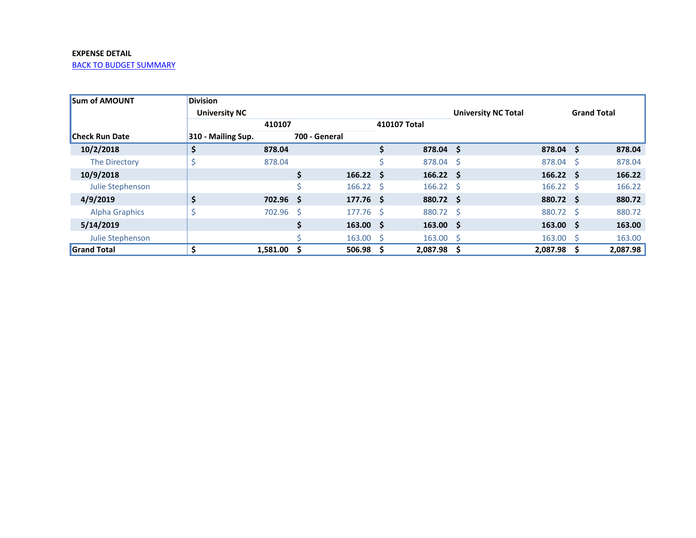<span id="page-36-0"></span>

| <b>ISum of AMOUNT</b> | <b>Division</b>      |             |               |                   |                            |                   |   |                    |     |          |
|-----------------------|----------------------|-------------|---------------|-------------------|----------------------------|-------------------|---|--------------------|-----|----------|
|                       | <b>University NC</b> |             |               |                   | <b>University NC Total</b> |                   |   | <b>Grand Total</b> |     |          |
|                       |                      | 410107      | 410107 Total  |                   |                            |                   |   |                    |     |          |
| <b>Check Run Date</b> | 310 - Mailing Sup.   |             | 700 - General |                   |                            |                   |   |                    |     |          |
| 10/2/2018             | Ş                    | 878.04      |               |                   | \$                         | 878.04 \$         |   | $878.04$ \$        |     | 878.04   |
| The Directory         |                      | 878.04      |               |                   |                            | 878.04 \$         |   | 878.04 \$          |     | 878.04   |
| 10/9/2018             |                      |             | Ś.            | 166.22 S          |                            | $166.22 \quad$ \$ |   | $166.22 \quad$ \$  |     | 166.22   |
| Julie Stephenson      |                      |             |               | $166.22 \quad$ \$ |                            | $166.22 \quad$ \$ |   | $166.22 \quad$ \$  |     | 166.22   |
| 4/9/2019              |                      | $702.96$ \$ |               | $177.76$ \$       |                            | 880.72 \$         |   | 880.72 \$          |     | 880.72   |
| <b>Alpha Graphics</b> |                      | 702.96 \$   |               | 177.76 \$         |                            | 880.72 \$         |   | 880.72 \$          |     | 880.72   |
| 5/14/2019             |                      |             | S             | $163.00 \quad $$  |                            | $163.00 \quad $$  |   | $163.00 \quad $$   |     | 163.00   |
| Julie Stephenson      |                      |             |               | $163.00 \quad $$  |                            | $163.00 \quad $$  |   | $163.00 \div$      |     | 163.00   |
| <b>Grand Total</b>    |                      | 1,581.00    | -S            | 506.98            | S                          | 2,087.98          | S | 2,087.98           | - S | 2,087.98 |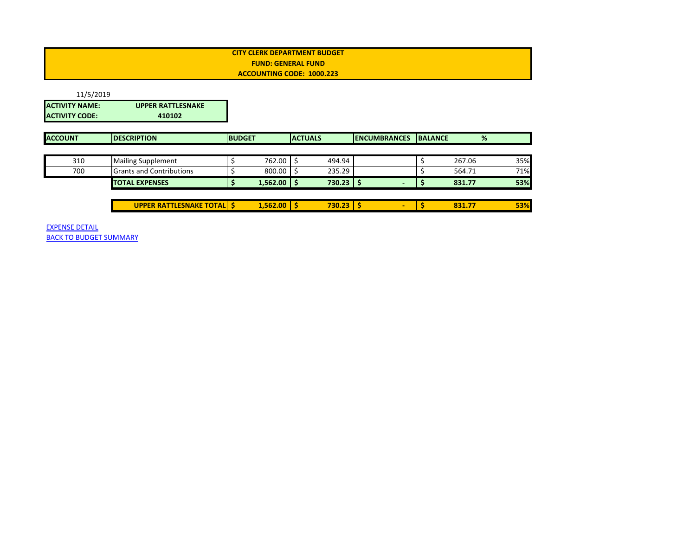<span id="page-37-0"></span>

| 11/5/2019             |                          |
|-----------------------|--------------------------|
| <b>ACTIVITY NAME:</b> | <b>UPPER RATTLESNAKE</b> |
| IACTIVITY CODE:       | 410102                   |

| <b>ACCOUNT</b> | <b>DESCRIPTION</b>               | <b>BUDGET</b> |                 | <b>ACTUALS</b> | <b>ENCUMBRANCES</b>      | <b>BALANCE</b> |        | $\frac{9}{6}$ |
|----------------|----------------------------------|---------------|-----------------|----------------|--------------------------|----------------|--------|---------------|
|                |                                  |               |                 |                |                          |                |        |               |
| 310            | <b>Mailing Supplement</b>        |               | 762.00 \$       | 494.94         |                          |                | 267.06 | 35%           |
| 700            | <b>Grants and Contributions</b>  |               | $800.00$ S      | 235.29         |                          |                | 564.71 | 71%           |
|                | <b>TOTAL EXPENSES</b>            |               | $1,562.00$   \$ | 730.23         |                          |                | 831.77 | 53%           |
|                |                                  |               |                 |                |                          |                |        |               |
|                | <b>UPPER RATTLESNAKE TOTAL S</b> |               | $1,562.00$   \$ | 730.23         | $\overline{\phantom{0}}$ |                | 831.77 | 53%           |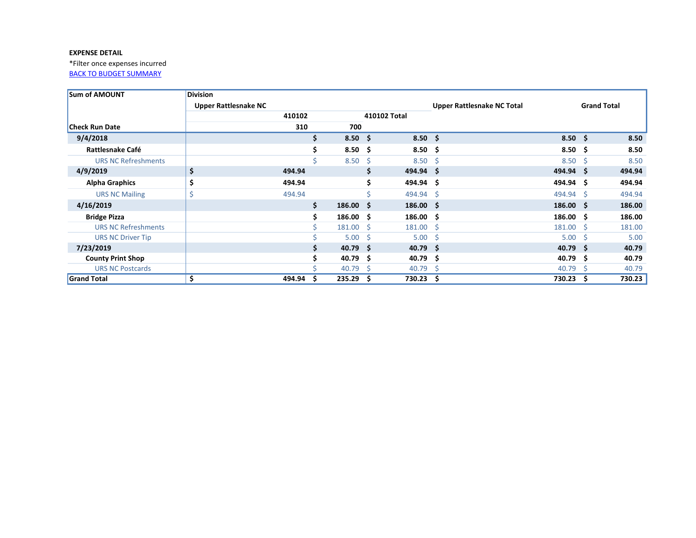<span id="page-38-0"></span>\*Filter once expenses incurred [BACK TO BUDGET SUMMARY](#page-0-0)

| <b>Sum of AMOUNT</b>       | <b>Division</b>             |        |    |                   |     |                    |                                   |                    |     |                    |
|----------------------------|-----------------------------|--------|----|-------------------|-----|--------------------|-----------------------------------|--------------------|-----|--------------------|
|                            | <b>Upper Rattlesnake NC</b> |        |    |                   |     |                    | <b>Upper Rattlesnake NC Total</b> |                    |     | <b>Grand Total</b> |
|                            |                             | 410102 |    |                   |     | 410102 Total       |                                   |                    |     |                    |
| <b>Check Run Date</b>      |                             | 310    |    | 700               |     |                    |                                   |                    |     |                    |
| 9/4/2018                   |                             |        | \$ | $8.50\quad$ \$    |     | $8.50\frac{2}{3}$  |                                   | $8.50\frac{2}{3}$  |     | 8.50               |
| <b>Rattlesnake Café</b>    |                             |        | Ś. | $8.50\frac{2}{3}$ |     | $8.50\quad$ \$     |                                   | $8.50\frac{2}{3}$  |     | 8.50               |
| <b>URS NC Refreshments</b> |                             |        |    | $8.50\,$ \$       |     | $8.50\quad$ \$     |                                   | $8.50\quad$ \$     |     | 8.50               |
| 4/9/2019                   | \$                          | 494.94 |    |                   |     | 494.94 \$          |                                   | $494.94$ \$        |     | 494.94             |
| <b>Alpha Graphics</b>      | \$                          | 494.94 |    |                   | \$. | 494.94 \$          |                                   | 494.94 \$          |     | 494.94             |
| <b>URS NC Mailing</b>      | Ś                           | 494.94 |    |                   |     | 494.94 \$          |                                   | 494.94 \$          |     | 494.94             |
| 4/16/2019                  |                             |        | \$ | $186.00 \quad $$  |     | $186.00 \quad $$   |                                   | $186.00 \quad $$   |     | 186.00             |
| <b>Bridge Pizza</b>        |                             |        |    | $186.00 \quad $$  |     | $186.00 \quad $$   |                                   | $186.00 \quad $$   |     | 186.00             |
| <b>URS NC Refreshments</b> |                             |        |    | $181.00 \quad$ \$ |     | $181.00 \quad $$   |                                   | $181.00 \quad$ \$  |     | 181.00             |
| <b>URS NC Driver Tip</b>   |                             |        |    | $5.00 \quad $$    |     | $5.00 \div$        |                                   | 5.00               | - S | 5.00               |
| 7/23/2019                  |                             |        |    | $40.79$ \$        |     | $40.79$ \$         |                                   | $40.79$ \$         |     | 40.79              |
| <b>County Print Shop</b>   |                             |        |    | 40.79 \$          |     | 40.79 \$           |                                   | 40.79 <sup>5</sup> |     | 40.79              |
| <b>URS NC Postcards</b>    |                             |        |    | 40.79             | - S | 40.79 <sup>5</sup> |                                   | 40.79              | -S  | 40.79              |
| <b>Grand Total</b>         |                             | 494.94 | Ŝ  | 235.29            | -S  | 730.23 \$          |                                   | 730.23             | -S  | 730.23             |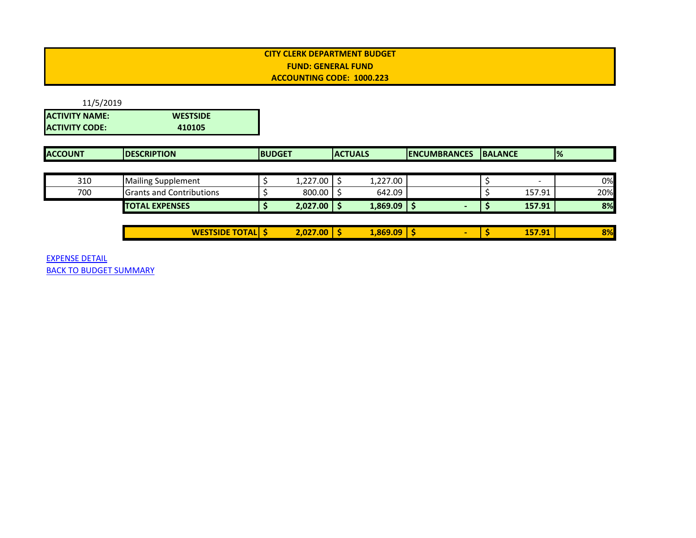<span id="page-39-0"></span>

| 11/5/2019             |                 |
|-----------------------|-----------------|
| <b>ACTIVITY NAME:</b> | <b>WESTSIDE</b> |
| <b>ACTIVITY CODE:</b> | 410105          |

| <b>ACCOUNT</b> | <b>IDESCRIPTION</b>             | <b>IBUDGET</b> |                    | <b>ACTUALS</b> |          | <b>IENCUMBRANCES</b> | <b>IBALANCE</b> |                          | $\frac{9}{6}$ |
|----------------|---------------------------------|----------------|--------------------|----------------|----------|----------------------|-----------------|--------------------------|---------------|
|                |                                 |                |                    |                |          |                      |                 |                          |               |
| 310            | <b>Mailing Supplement</b>       |                | 1.227.00           |                | 1,227.00 |                      |                 | $\overline{\phantom{0}}$ | 0%            |
| 700            | <b>Grants and Contributions</b> |                | $800.00$ $\mid$ \$ |                | 642.09   |                      |                 | 157.91                   | 20%           |
|                | <b>TOTAL EXPENSES</b>           |                | 2,027.00           |                | 1,869.09 |                      |                 | 157.91                   | 8%            |

| <b>TSIDE TOTAL</b><br>SISIDE<br><b>WE</b> | 2.027.00<br>$\sim$ | <b>RGQ 09</b><br><b>J.UY</b><br>$\sim$ | 1E701<br>137.JI | 00/<br>D70 |
|-------------------------------------------|--------------------|----------------------------------------|-----------------|------------|
|                                           |                    |                                        |                 |            |